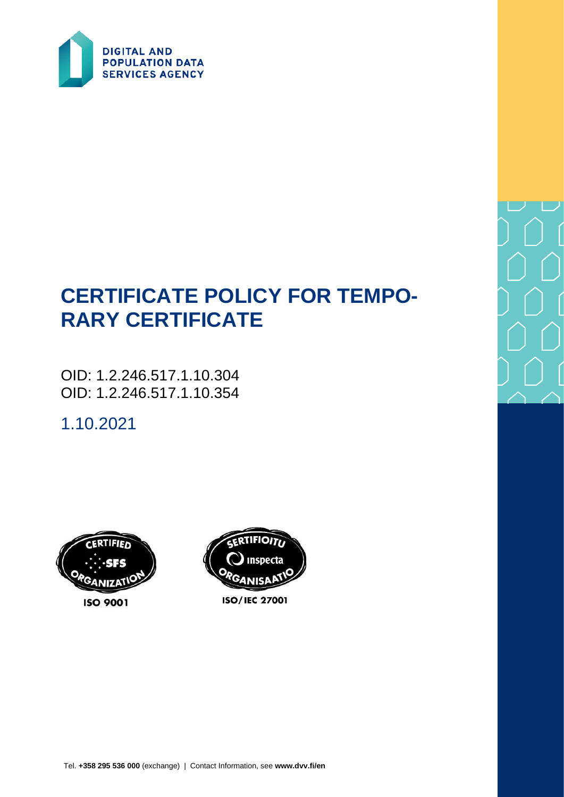

# **CERTIFICATE POLICY FOR TEMPO-RARY CERTIFICATE**

OID: 1.2.246.517.1.10.304 OID: 1.2.246.517.1.10.354

1.10.2021





**ISO/IEC 27001**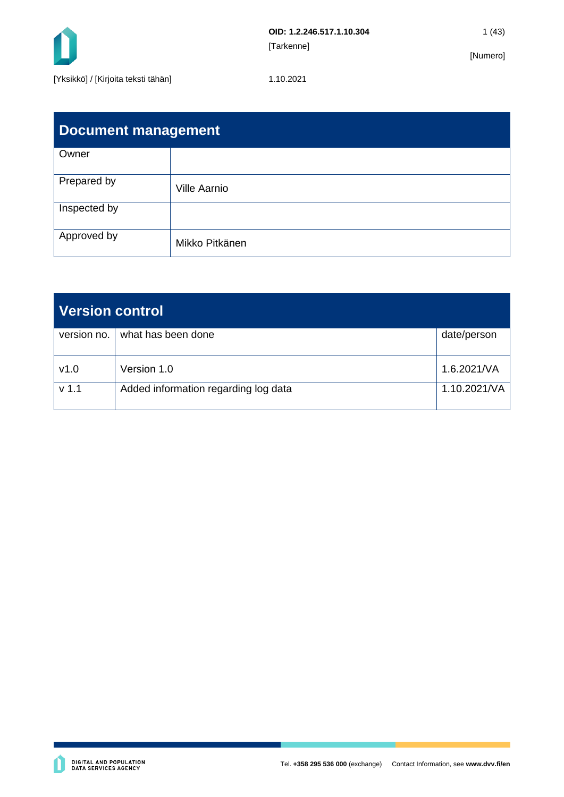

| Document management |                     |  |  |
|---------------------|---------------------|--|--|
| Owner               |                     |  |  |
| Prepared by         | <b>Ville Aarnio</b> |  |  |
| Inspected by        |                     |  |  |
| Approved by         | Mikko Pitkänen      |  |  |

| Version control  |                                      |              |
|------------------|--------------------------------------|--------------|
| version no.      | what has been done                   | date/person  |
| v1.0             | Version 1.0                          | 1.6.2021/VA  |
| v <sub>1.1</sub> | Added information regarding log data | 1.10.2021/VA |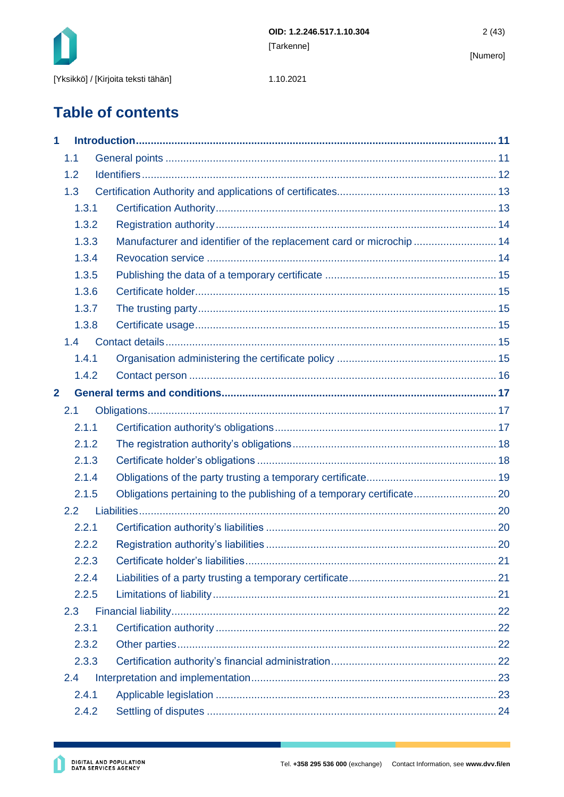

1.10.2021

# **Table of contents**

| 1              |       |                                                                      |  |
|----------------|-------|----------------------------------------------------------------------|--|
|                | 1.1   |                                                                      |  |
|                | 1.2   |                                                                      |  |
|                | 1.3   |                                                                      |  |
|                | 1.3.1 |                                                                      |  |
|                | 1.3.2 |                                                                      |  |
|                | 1.3.3 | Manufacturer and identifier of the replacement card or microchip  14 |  |
|                | 1.3.4 |                                                                      |  |
|                | 1.3.5 |                                                                      |  |
|                | 1.3.6 |                                                                      |  |
|                | 1.3.7 |                                                                      |  |
|                | 1.3.8 |                                                                      |  |
|                | 1.4   |                                                                      |  |
|                | 1.4.1 |                                                                      |  |
|                | 1.4.2 |                                                                      |  |
| $\overline{2}$ |       |                                                                      |  |
|                | 2.1   |                                                                      |  |
|                | 2.1.1 |                                                                      |  |
|                | 2.1.2 |                                                                      |  |
|                | 2.1.3 |                                                                      |  |
|                | 2.1.4 |                                                                      |  |
|                | 2.1.5 |                                                                      |  |
|                | 2.2   |                                                                      |  |
|                | 2.2.1 |                                                                      |  |
|                | 2.2.2 |                                                                      |  |
|                | 2.2.3 |                                                                      |  |
|                | 2.2.4 |                                                                      |  |
|                | 2.2.5 |                                                                      |  |
|                | 2.3   |                                                                      |  |
|                | 2.3.1 |                                                                      |  |
|                | 2.3.2 |                                                                      |  |
|                | 2.3.3 |                                                                      |  |
|                | 2.4   |                                                                      |  |
|                | 2.4.1 |                                                                      |  |
|                | 2.4.2 |                                                                      |  |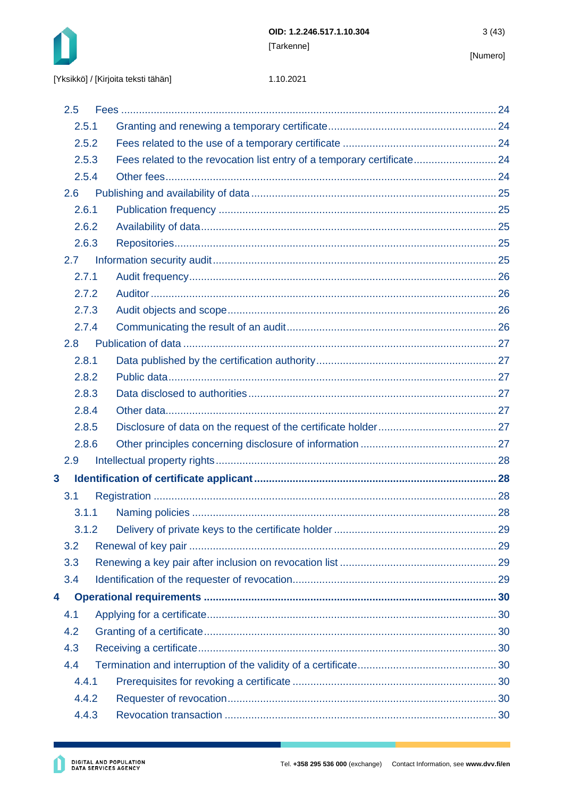

#### 1.10.2021

|              | 2.5           |                                                                         |  |
|--------------|---------------|-------------------------------------------------------------------------|--|
|              | 2.5.1         |                                                                         |  |
|              | 2.5.2         |                                                                         |  |
|              | 2.5.3         | Fees related to the revocation list entry of a temporary certificate 24 |  |
|              | 2.5.4         |                                                                         |  |
|              | 2.6           |                                                                         |  |
|              | 2.6.1         |                                                                         |  |
|              | 2.6.2         |                                                                         |  |
|              | 2.6.3         |                                                                         |  |
|              | $2.7^{\circ}$ |                                                                         |  |
|              | 2.7.1         |                                                                         |  |
|              | 2.7.2         |                                                                         |  |
|              | 2.7.3         |                                                                         |  |
|              | 2.7.4         |                                                                         |  |
|              | 2.8           |                                                                         |  |
|              | 2.8.1         |                                                                         |  |
|              | 2.8.2         |                                                                         |  |
|              | 2.8.3         |                                                                         |  |
|              | 2.8.4         |                                                                         |  |
|              | 2.8.5         |                                                                         |  |
|              | 2.8.6         |                                                                         |  |
|              | 2.9           |                                                                         |  |
| $\mathbf{3}$ |               |                                                                         |  |
|              | 3.1           |                                                                         |  |
|              | 3.1.1         |                                                                         |  |
|              | 3.1.2         |                                                                         |  |
|              | 3.2           |                                                                         |  |
|              | 3.3           |                                                                         |  |
|              | 3.4           |                                                                         |  |
| 4            |               |                                                                         |  |
|              | 4.1           |                                                                         |  |
|              | 4.2           |                                                                         |  |
|              | 4.3           |                                                                         |  |
|              | 4.4           |                                                                         |  |
|              | 4.4.1         |                                                                         |  |
|              | 4.4.2         |                                                                         |  |
|              | 4.4.3         |                                                                         |  |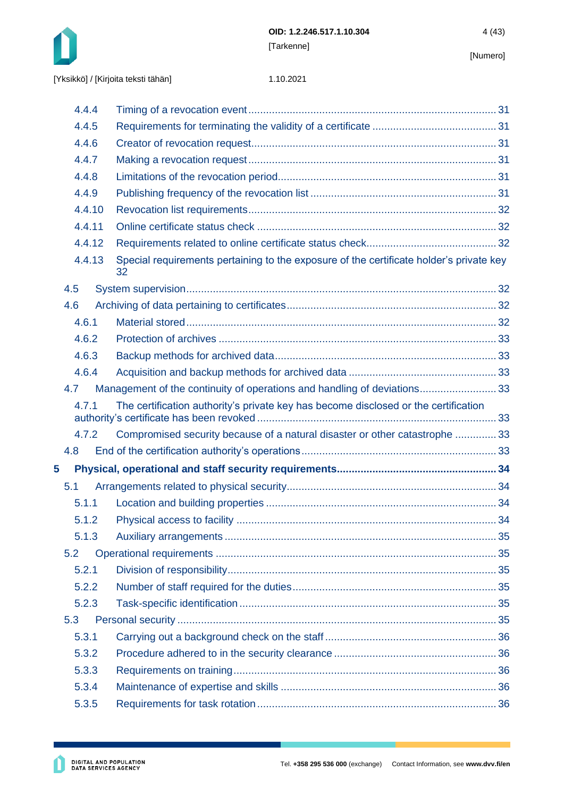

|  |  | [Yksikkö] / [Kirjoita teksti tähän] |
|--|--|-------------------------------------|
|--|--|-------------------------------------|

|   |     | 4.4.4  |                                                                                               |  |
|---|-----|--------|-----------------------------------------------------------------------------------------------|--|
|   |     | 4.4.5  |                                                                                               |  |
|   |     | 4.4.6  |                                                                                               |  |
|   |     | 4.4.7  |                                                                                               |  |
|   |     | 4.4.8  |                                                                                               |  |
|   |     | 4.4.9  |                                                                                               |  |
|   |     | 4.4.10 |                                                                                               |  |
|   |     | 4.4.11 |                                                                                               |  |
|   |     | 4.4.12 |                                                                                               |  |
|   |     | 4.4.13 | Special requirements pertaining to the exposure of the certificate holder's private key<br>32 |  |
|   | 4.5 |        |                                                                                               |  |
|   | 4.6 |        |                                                                                               |  |
|   |     | 4.6.1  |                                                                                               |  |
|   |     | 4.6.2  |                                                                                               |  |
|   |     | 4.6.3  |                                                                                               |  |
|   |     | 4.6.4  |                                                                                               |  |
|   | 4.7 |        | Management of the continuity of operations and handling of deviations33                       |  |
|   |     | 4.7.1  | The certification authority's private key has become disclosed or the certification           |  |
|   |     | 4.7.2  | Compromised security because of a natural disaster or other catastrophe  33                   |  |
|   | 4.8 |        |                                                                                               |  |
| 5 |     |        |                                                                                               |  |
|   | 5.1 |        |                                                                                               |  |
|   |     | 5.1.1  |                                                                                               |  |
|   |     | 5.1.2  |                                                                                               |  |
|   |     | 5.1.3  |                                                                                               |  |
|   | 5.2 |        |                                                                                               |  |
|   |     | 5.2.1  |                                                                                               |  |
|   |     | 5.2.2  |                                                                                               |  |
|   |     | 5.2.3  |                                                                                               |  |
|   | 5.3 |        |                                                                                               |  |
|   |     | 5.3.1  |                                                                                               |  |
|   |     | 5.3.2  |                                                                                               |  |
|   |     | 5.3.3  |                                                                                               |  |
|   |     | 5.3.4  |                                                                                               |  |
|   |     | 5.3.5  |                                                                                               |  |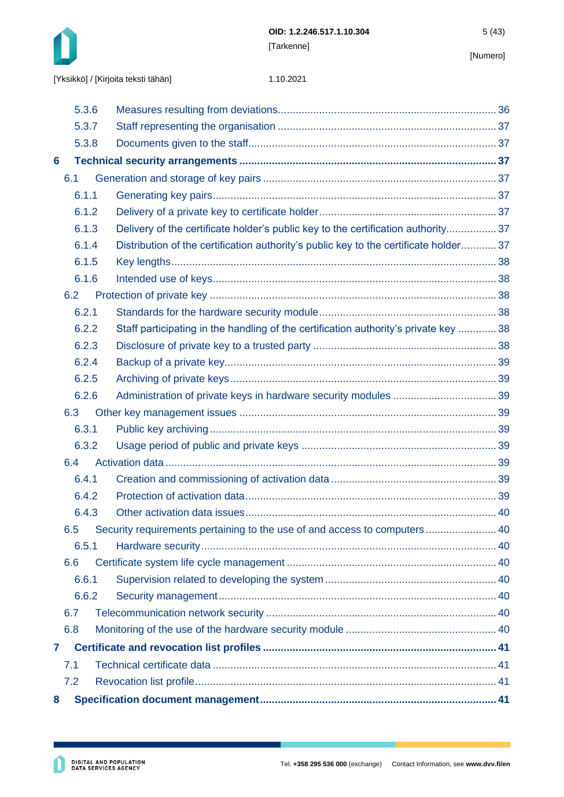

|   | 5.3.6 |                                                                                      |  |
|---|-------|--------------------------------------------------------------------------------------|--|
|   | 5.3.7 |                                                                                      |  |
|   | 5.3.8 |                                                                                      |  |
| 6 |       |                                                                                      |  |
|   | 6.1   |                                                                                      |  |
|   | 6.1.1 |                                                                                      |  |
|   | 6.1.2 |                                                                                      |  |
|   | 6.1.3 | Delivery of the certificate holder's public key to the certification authority 37    |  |
|   | 6.1.4 | Distribution of the certification authority's public key to the certificate holder37 |  |
|   | 6.1.5 |                                                                                      |  |
|   | 6.1.6 |                                                                                      |  |
|   | 6.2   |                                                                                      |  |
|   | 6.2.1 |                                                                                      |  |
|   | 6.2.2 | Staff participating in the handling of the certification authority's private key  38 |  |
|   | 6.2.3 |                                                                                      |  |
|   | 6.2.4 |                                                                                      |  |
|   | 6.2.5 |                                                                                      |  |
|   | 6.2.6 |                                                                                      |  |
|   | 6.3   |                                                                                      |  |
|   | 6.3.1 |                                                                                      |  |
|   | 6.3.2 |                                                                                      |  |
|   | 6.4   |                                                                                      |  |
|   | 6.4.1 |                                                                                      |  |
|   | 6.4.2 |                                                                                      |  |
|   | 6.4.3 |                                                                                      |  |
|   | 6.5   | Security requirements pertaining to the use of and access to computers 40            |  |
|   | 6.5.1 |                                                                                      |  |
|   | 6.6   |                                                                                      |  |
|   | 6.6.1 |                                                                                      |  |
|   | 6.6.2 |                                                                                      |  |
|   | 6.7   |                                                                                      |  |
|   | 6.8   |                                                                                      |  |
| 7 |       |                                                                                      |  |
|   | 7.1   |                                                                                      |  |
|   | 7.2   |                                                                                      |  |
| 8 |       |                                                                                      |  |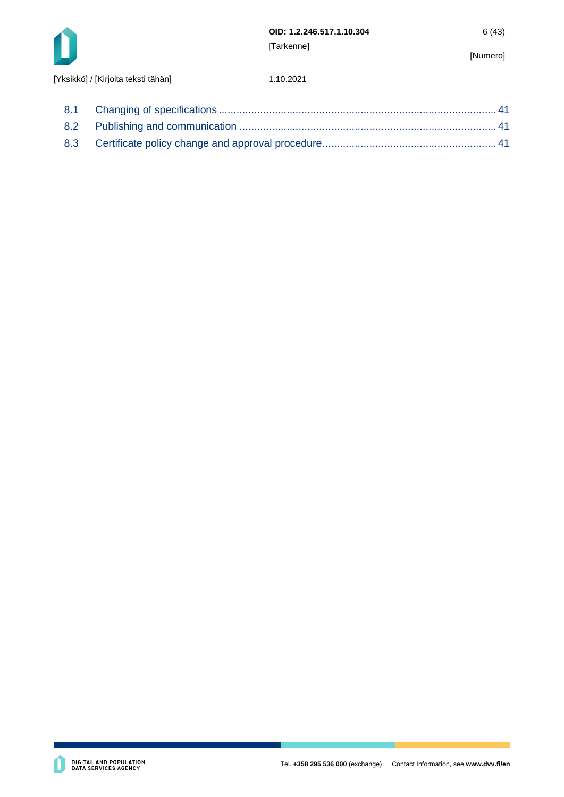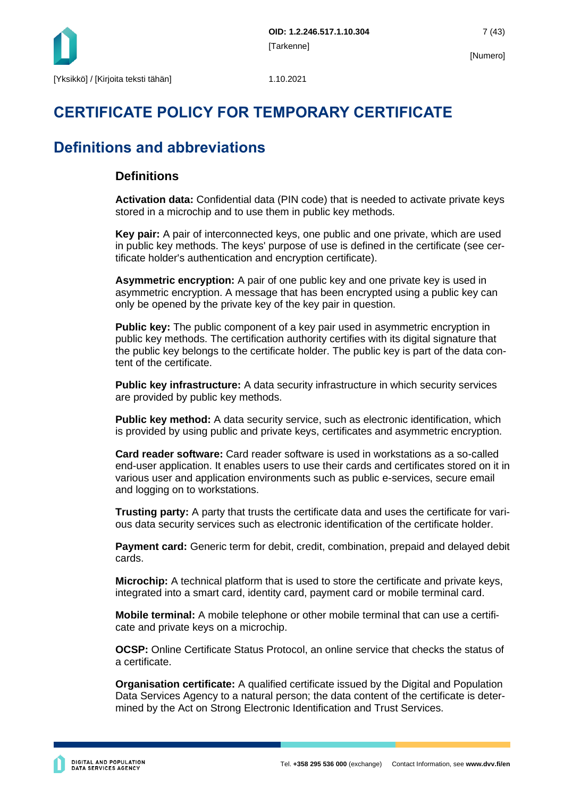

# **CERTIFICATE POLICY FOR TEMPORARY CERTIFICATE**

# **Definitions and abbreviations**

### **Definitions**

**Activation data:** Confidential data (PIN code) that is needed to activate private keys stored in a microchip and to use them in public key methods.

**Key pair:** A pair of interconnected keys, one public and one private, which are used in public key methods. The keys' purpose of use is defined in the certificate (see certificate holder's authentication and encryption certificate).

**Asymmetric encryption:** A pair of one public key and one private key is used in asymmetric encryption. A message that has been encrypted using a public key can only be opened by the private key of the key pair in question.

**Public key:** The public component of a key pair used in asymmetric encryption in public key methods. The certification authority certifies with its digital signature that the public key belongs to the certificate holder. The public key is part of the data content of the certificate.

**Public key infrastructure:** A data security infrastructure in which security services are provided by public key methods.

**Public key method:** A data security service, such as electronic identification, which is provided by using public and private keys, certificates and asymmetric encryption.

**Card reader software:** Card reader software is used in workstations as a so-called end-user application. It enables users to use their cards and certificates stored on it in various user and application environments such as public e-services, secure email and logging on to workstations.

**Trusting party:** A party that trusts the certificate data and uses the certificate for various data security services such as electronic identification of the certificate holder.

**Payment card:** Generic term for debit, credit, combination, prepaid and delayed debit cards.

**Microchip:** A technical platform that is used to store the certificate and private keys, integrated into a smart card, identity card, payment card or mobile terminal card.

**Mobile terminal:** A mobile telephone or other mobile terminal that can use a certificate and private keys on a microchip.

**OCSP:** Online Certificate Status Protocol, an online service that checks the status of a certificate.

**Organisation certificate:** A qualified certificate issued by the Digital and Population Data Services Agency to a natural person; the data content of the certificate is determined by the Act on Strong Electronic Identification and Trust Services.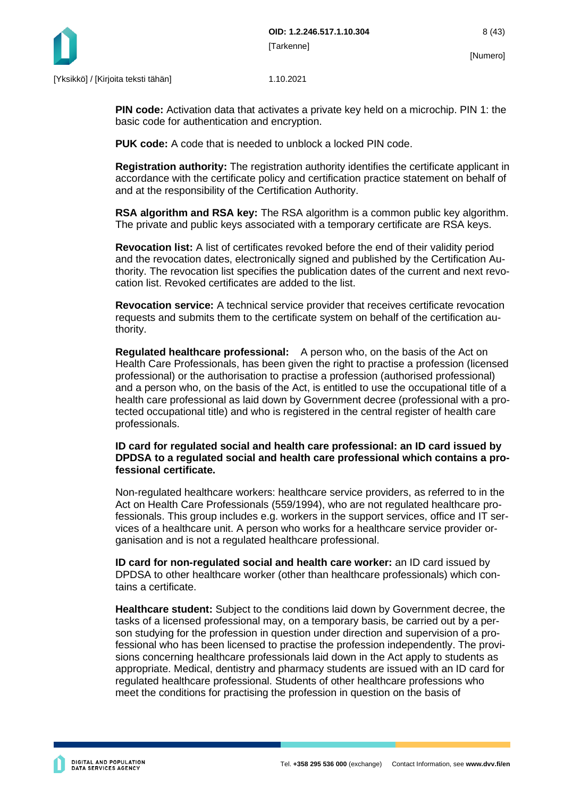

**PIN code:** Activation data that activates a private key held on a microchip. PIN 1: the basic code for authentication and encryption.

**PUK code:** A code that is needed to unblock a locked PIN code.

**Registration authority:** The registration authority identifies the certificate applicant in accordance with the certificate policy and certification practice statement on behalf of and at the responsibility of the Certification Authority.

**RSA algorithm and RSA key:** The RSA algorithm is a common public key algorithm. The private and public keys associated with a temporary certificate are RSA keys.

**Revocation list:** A list of certificates revoked before the end of their validity period and the revocation dates, electronically signed and published by the Certification Authority. The revocation list specifies the publication dates of the current and next revocation list. Revoked certificates are added to the list.

**Revocation service:** A technical service provider that receives certificate revocation requests and submits them to the certificate system on behalf of the certification authority.

**Regulated healthcare professional:** A person who, on the basis of the Act on Health Care Professionals, has been given the right to practise a profession (licensed professional) or the authorisation to practise a profession (authorised professional) and a person who, on the basis of the Act, is entitled to use the occupational title of a health care professional as laid down by Government decree (professional with a protected occupational title) and who is registered in the central register of health care professionals.

**ID card for regulated social and health care professional: an ID card issued by DPDSA to a regulated social and health care professional which contains a professional certificate.**

Non-regulated healthcare workers: healthcare service providers, as referred to in the Act on Health Care Professionals (559/1994), who are not regulated healthcare professionals. This group includes e.g. workers in the support services, office and IT services of a healthcare unit. A person who works for a healthcare service provider organisation and is not a regulated healthcare professional.

**ID card for non-regulated social and health care worker:** an ID card issued by DPDSA to other healthcare worker (other than healthcare professionals) which contains a certificate.

**Healthcare student:** Subject to the conditions laid down by Government decree, the tasks of a licensed professional may, on a temporary basis, be carried out by a person studying for the profession in question under direction and supervision of a professional who has been licensed to practise the profession independently. The provisions concerning healthcare professionals laid down in the Act apply to students as appropriate. Medical, dentistry and pharmacy students are issued with an ID card for regulated healthcare professional. Students of other healthcare professions who meet the conditions for practising the profession in question on the basis of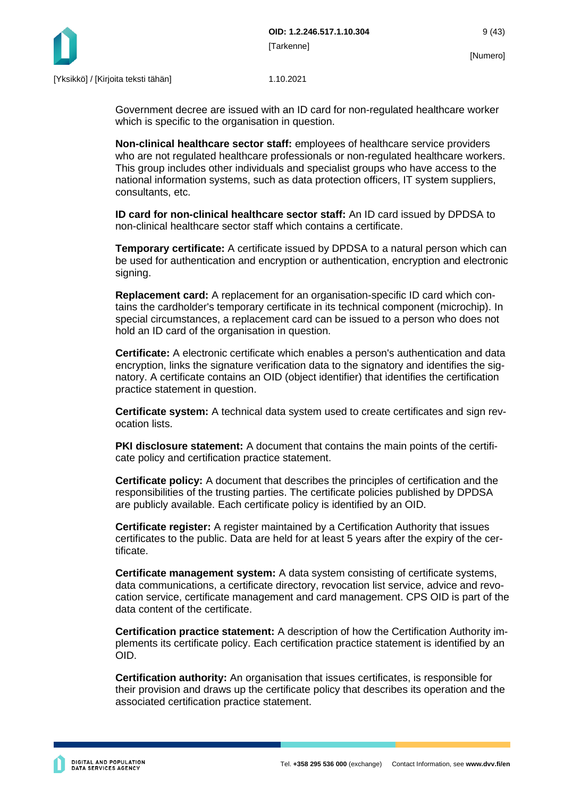

Government decree are issued with an ID card for non-regulated healthcare worker which is specific to the organisation in question.

**Non-clinical healthcare sector staff:** employees of healthcare service providers who are not regulated healthcare professionals or non-regulated healthcare workers. This group includes other individuals and specialist groups who have access to the national information systems, such as data protection officers, IT system suppliers, consultants, etc.

**ID card for non-clinical healthcare sector staff:** An ID card issued by DPDSA to non-clinical healthcare sector staff which contains a certificate.

**Temporary certificate:** A certificate issued by DPDSA to a natural person which can be used for authentication and encryption or authentication, encryption and electronic signing.

**Replacement card:** A replacement for an organisation-specific ID card which contains the cardholder's temporary certificate in its technical component (microchip). In special circumstances, a replacement card can be issued to a person who does not hold an ID card of the organisation in question.

**Certificate:** A electronic certificate which enables a person's authentication and data encryption, links the signature verification data to the signatory and identifies the signatory. A certificate contains an OID (object identifier) that identifies the certification practice statement in question.

**Certificate system:** A technical data system used to create certificates and sign revocation lists.

**PKI disclosure statement:** A document that contains the main points of the certificate policy and certification practice statement.

**Certificate policy:** A document that describes the principles of certification and the responsibilities of the trusting parties. The certificate policies published by DPDSA are publicly available. Each certificate policy is identified by an OID.

**Certificate register:** A register maintained by a Certification Authority that issues certificates to the public. Data are held for at least 5 years after the expiry of the certificate.

**Certificate management system:** A data system consisting of certificate systems, data communications, a certificate directory, revocation list service, advice and revocation service, certificate management and card management. CPS OID is part of the data content of the certificate.

**Certification practice statement:** A description of how the Certification Authority implements its certificate policy. Each certification practice statement is identified by an OID.

**Certification authority:** An organisation that issues certificates, is responsible for their provision and draws up the certificate policy that describes its operation and the associated certification practice statement.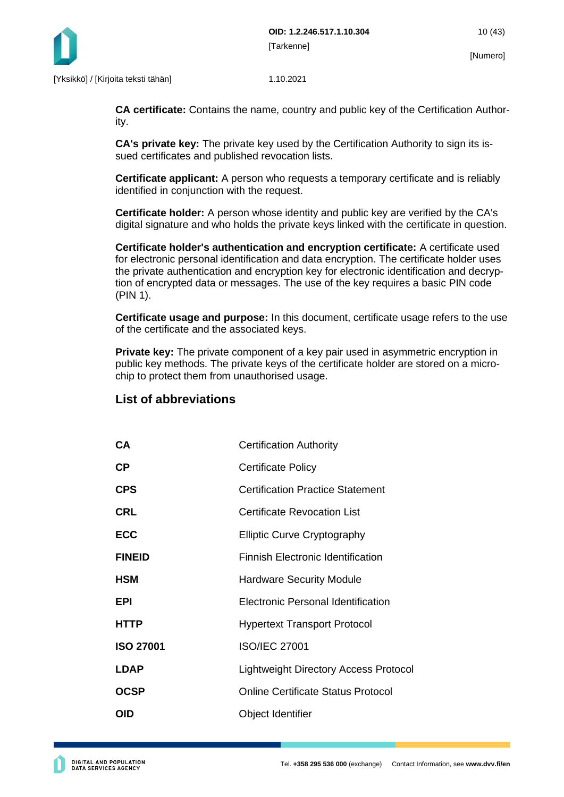

**CA certificate:** Contains the name, country and public key of the Certification Authority.

**CA's private key:** The private key used by the Certification Authority to sign its issued certificates and published revocation lists.

**Certificate applicant:** A person who requests a temporary certificate and is reliably identified in conjunction with the request.

**Certificate holder:** A person whose identity and public key are verified by the CA's digital signature and who holds the private keys linked with the certificate in question.

**Certificate holder's authentication and encryption certificate:** A certificate used for electronic personal identification and data encryption. The certificate holder uses the private authentication and encryption key for electronic identification and decryption of encrypted data or messages. The use of the key requires a basic PIN code (PIN 1).

**Certificate usage and purpose:** In this document, certificate usage refers to the use of the certificate and the associated keys.

**Private key:** The private component of a key pair used in asymmetric encryption in public key methods. The private keys of the certificate holder are stored on a microchip to protect them from unauthorised usage.

### **List of abbreviations**

| <b>CA</b>        | <b>Certification Authority</b>               |
|------------------|----------------------------------------------|
| СP               | <b>Certificate Policy</b>                    |
| CPS              | <b>Certification Practice Statement</b>      |
| CRL              | <b>Certificate Revocation List</b>           |
| ECC              | <b>Elliptic Curve Cryptography</b>           |
| <b>FINEID</b>    | <b>Finnish Electronic Identification</b>     |
| HSM              | <b>Hardware Security Module</b>              |
| EPI              | Electronic Personal Identification           |
| HTTP             | <b>Hypertext Transport Protocol</b>          |
| <b>ISO 27001</b> | <b>ISO/IEC 27001</b>                         |
| <b>LDAP</b>      | <b>Lightweight Directory Access Protocol</b> |
| OCSP             | <b>Online Certificate Status Protocol</b>    |
| OID              | Object Identifier                            |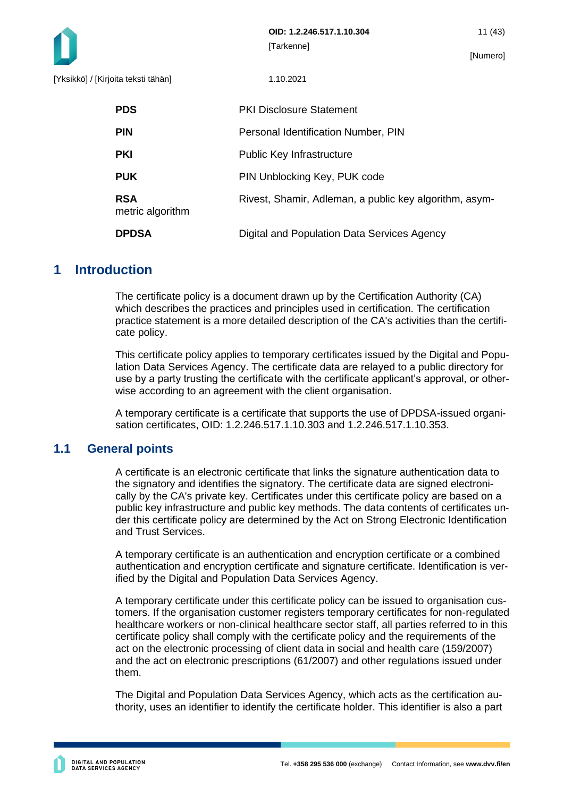

| <b>PDS</b>                     | <b>PKI Disclosure Statement</b>                        |
|--------------------------------|--------------------------------------------------------|
| <b>PIN</b>                     | Personal Identification Number, PIN                    |
| <b>PKI</b>                     | <b>Public Key Infrastructure</b>                       |
| <b>PUK</b>                     | PIN Unblocking Key, PUK code                           |
| <b>RSA</b><br>metric algorithm | Rivest, Shamir, Adleman, a public key algorithm, asym- |
| <b>DPDSA</b>                   | Digital and Population Data Services Agency            |

### <span id="page-11-0"></span>**1 Introduction**

The certificate policy is a document drawn up by the Certification Authority (CA) which describes the practices and principles used in certification. The certification practice statement is a more detailed description of the CA's activities than the certificate policy.

This certificate policy applies to temporary certificates issued by the Digital and Population Data Services Agency. The certificate data are relayed to a public directory for use by a party trusting the certificate with the certificate applicant's approval, or otherwise according to an agreement with the client organisation.

A temporary certificate is a certificate that supports the use of DPDSA-issued organisation certificates, OID: 1.2.246.517.1.10.303 and 1.2.246.517.1.10.353.

### <span id="page-11-1"></span>**1.1 General points**

A certificate is an electronic certificate that links the signature authentication data to the signatory and identifies the signatory. The certificate data are signed electronically by the CA's private key. Certificates under this certificate policy are based on a public key infrastructure and public key methods. The data contents of certificates under this certificate policy are determined by the Act on Strong Electronic Identification and Trust Services.

A temporary certificate is an authentication and encryption certificate or a combined authentication and encryption certificate and signature certificate. Identification is verified by the Digital and Population Data Services Agency.

A temporary certificate under this certificate policy can be issued to organisation customers. If the organisation customer registers temporary certificates for non-regulated healthcare workers or non-clinical healthcare sector staff, all parties referred to in this certificate policy shall comply with the certificate policy and the requirements of the act on the electronic processing of client data in social and health care (159/2007) and the act on electronic prescriptions (61/2007) and other regulations issued under them.

The Digital and Population Data Services Agency, which acts as the certification authority, uses an identifier to identify the certificate holder. This identifier is also a part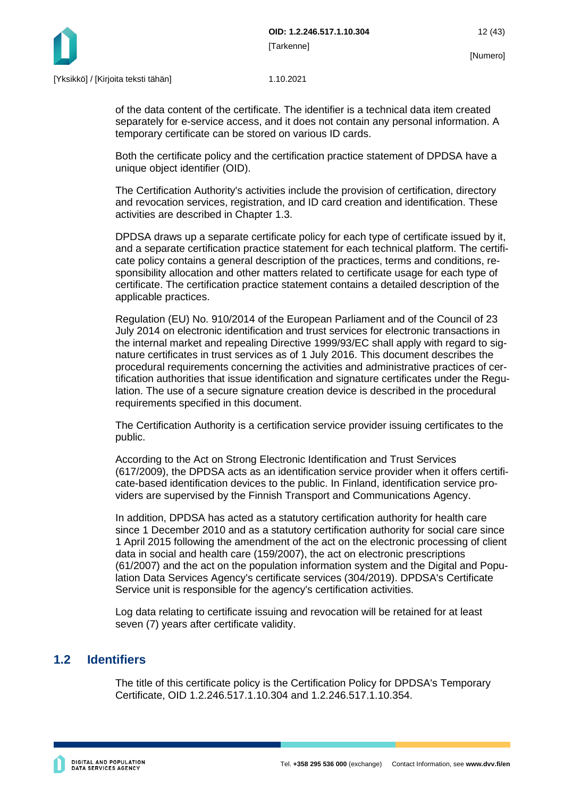

of the data content of the certificate. The identifier is a technical data item created separately for e-service access, and it does not contain any personal information. A temporary certificate can be stored on various ID cards.

Both the certificate policy and the certification practice statement of DPDSA have a unique object identifier (OID).

The Certification Authority's activities include the provision of certification, directory and revocation services, registration, and ID card creation and identification. These activities are described in Chapter 1.3.

DPDSA draws up a separate certificate policy for each type of certificate issued by it, and a separate certification practice statement for each technical platform. The certificate policy contains a general description of the practices, terms and conditions, responsibility allocation and other matters related to certificate usage for each type of certificate. The certification practice statement contains a detailed description of the applicable practices.

Regulation (EU) No. 910/2014 of the European Parliament and of the Council of 23 July 2014 on electronic identification and trust services for electronic transactions in the internal market and repealing Directive 1999/93/EC shall apply with regard to signature certificates in trust services as of 1 July 2016. This document describes the procedural requirements concerning the activities and administrative practices of certification authorities that issue identification and signature certificates under the Regulation. The use of a secure signature creation device is described in the procedural requirements specified in this document.

The Certification Authority is a certification service provider issuing certificates to the public.

According to the Act on Strong Electronic Identification and Trust Services (617/2009), the DPDSA acts as an identification service provider when it offers certificate-based identification devices to the public. In Finland, identification service providers are supervised by the Finnish Transport and Communications Agency.

In addition, DPDSA has acted as a statutory certification authority for health care since 1 December 2010 and as a statutory certification authority for social care since 1 April 2015 following the amendment of the act on the electronic processing of client data in social and health care (159/2007), the act on electronic prescriptions (61/2007) and the act on the population information system and the Digital and Population Data Services Agency's certificate services (304/2019). DPDSA's Certificate Service unit is responsible for the agency's certification activities.

Log data relating to certificate issuing and revocation will be retained for at least seven (7) years after certificate validity.

### <span id="page-12-0"></span>**1.2 Identifiers**

The title of this certificate policy is the Certification Policy for DPDSA's Temporary Certificate, OID 1.2.246.517.1.10.304 and 1.2.246.517.1.10.354.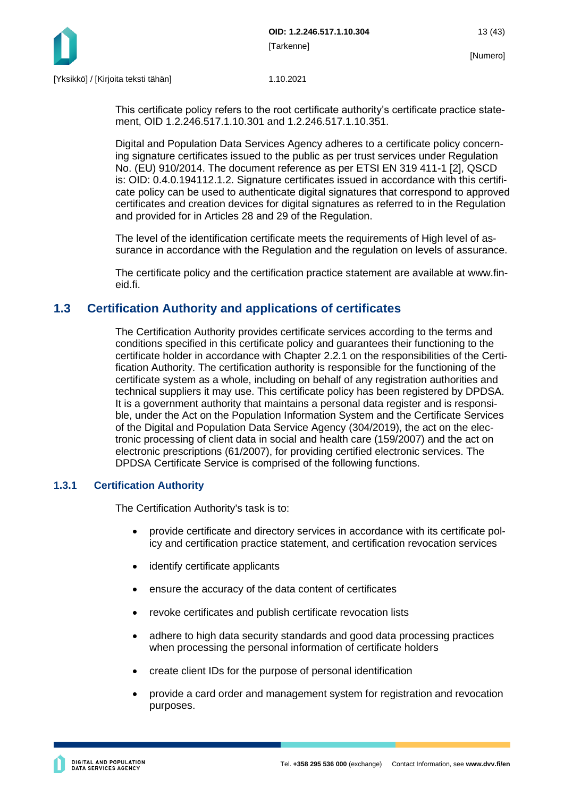

This certificate policy refers to the root certificate authority's certificate practice statement, OID 1.2.246.517.1.10.301 and 1.2.246.517.1.10.351.

Digital and Population Data Services Agency adheres to a certificate policy concerning signature certificates issued to the public as per trust services under Regulation No. (EU) 910/2014. The document reference as per ETSI EN 319 411-1 [2], QSCD is: OID: 0.4.0.194112.1.2. Signature certificates issued in accordance with this certificate policy can be used to authenticate digital signatures that correspond to approved certificates and creation devices for digital signatures as referred to in the Regulation and provided for in Articles 28 and 29 of the Regulation.

The level of the identification certificate meets the requirements of High level of assurance in accordance with the Regulation and the regulation on levels of assurance.

The certificate policy and the certification practice statement are available at www.fineid.fi.

### <span id="page-13-0"></span>**1.3 Certification Authority and applications of certificates**

The Certification Authority provides certificate services according to the terms and conditions specified in this certificate policy and guarantees their functioning to the certificate holder in accordance with Chapter 2.2.1 on the responsibilities of the Certification Authority. The certification authority is responsible for the functioning of the certificate system as a whole, including on behalf of any registration authorities and technical suppliers it may use. This certificate policy has been registered by DPDSA. It is a government authority that maintains a personal data register and is responsible, under the Act on the Population Information System and the Certificate Services of the Digital and Population Data Service Agency (304/2019), the act on the electronic processing of client data in social and health care (159/2007) and the act on electronic prescriptions (61/2007), for providing certified electronic services. The DPDSA Certificate Service is comprised of the following functions.

#### <span id="page-13-1"></span>**1.3.1 Certification Authority**

The Certification Authority's task is to:

- provide certificate and directory services in accordance with its certificate policy and certification practice statement, and certification revocation services
- identify certificate applicants
- ensure the accuracy of the data content of certificates
- revoke certificates and publish certificate revocation lists
- adhere to high data security standards and good data processing practices when processing the personal information of certificate holders
- create client IDs for the purpose of personal identification
- provide a card order and management system for registration and revocation purposes.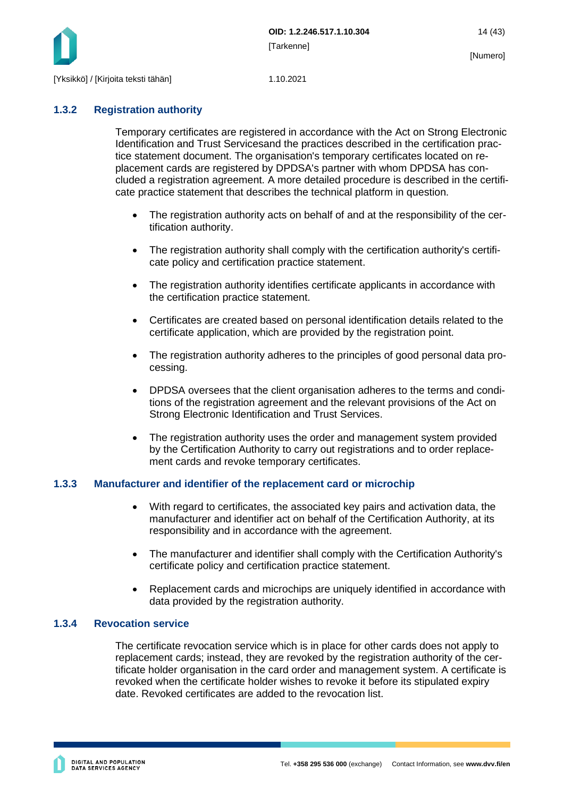

### <span id="page-14-0"></span>**1.3.2 Registration authority**

Temporary certificates are registered in accordance with the Act on Strong Electronic Identification and Trust Servicesand the practices described in the certification practice statement document. The organisation's temporary certificates located on replacement cards are registered by DPDSA's partner with whom DPDSA has concluded a registration agreement. A more detailed procedure is described in the certificate practice statement that describes the technical platform in question.

- The registration authority acts on behalf of and at the responsibility of the certification authority.
- The registration authority shall comply with the certification authority's certificate policy and certification practice statement.
- The registration authority identifies certificate applicants in accordance with the certification practice statement.
- Certificates are created based on personal identification details related to the certificate application, which are provided by the registration point.
- The registration authority adheres to the principles of good personal data processing.
- DPDSA oversees that the client organisation adheres to the terms and conditions of the registration agreement and the relevant provisions of the Act on Strong Electronic Identification and Trust Services.
- The registration authority uses the order and management system provided by the Certification Authority to carry out registrations and to order replacement cards and revoke temporary certificates.

### <span id="page-14-1"></span>**1.3.3 Manufacturer and identifier of the replacement card or microchip**

- With regard to certificates, the associated key pairs and activation data, the manufacturer and identifier act on behalf of the Certification Authority, at its responsibility and in accordance with the agreement.
- The manufacturer and identifier shall comply with the Certification Authority's certificate policy and certification practice statement.
- Replacement cards and microchips are uniquely identified in accordance with data provided by the registration authority.

#### <span id="page-14-2"></span>**1.3.4 Revocation service**

The certificate revocation service which is in place for other cards does not apply to replacement cards; instead, they are revoked by the registration authority of the certificate holder organisation in the card order and management system. A certificate is revoked when the certificate holder wishes to revoke it before its stipulated expiry date. Revoked certificates are added to the revocation list.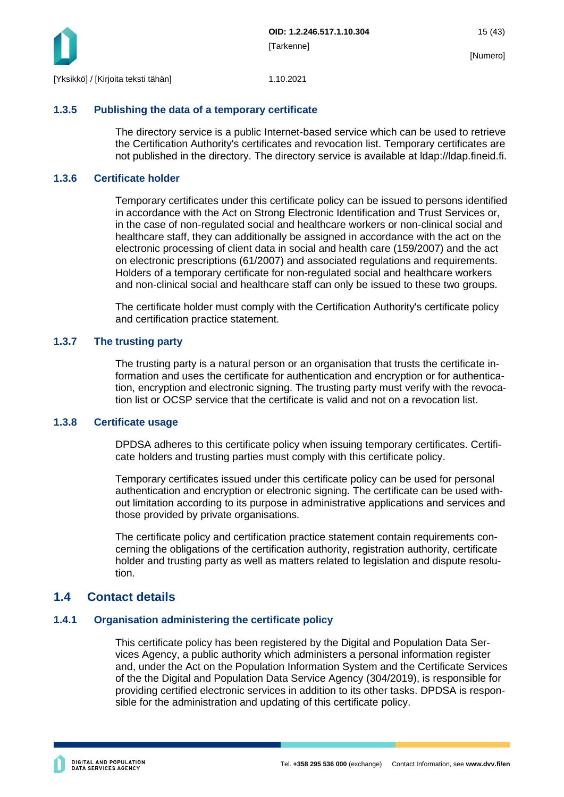

#### <span id="page-15-0"></span>**1.3.5 Publishing the data of a temporary certificate**

The directory service is a public Internet-based service which can be used to retrieve the Certification Authority's certificates and revocation list. Temporary certificates are not published in the directory. The directory service is available at ldap://ldap.fineid.fi.

#### <span id="page-15-1"></span>**1.3.6 Certificate holder**

Temporary certificates under this certificate policy can be issued to persons identified in accordance with the Act on Strong Electronic Identification and Trust Services or, in the case of non-regulated social and healthcare workers or non-clinical social and healthcare staff, they can additionally be assigned in accordance with the act on the electronic processing of client data in social and health care (159/2007) and the act on electronic prescriptions (61/2007) and associated regulations and requirements. Holders of a temporary certificate for non-regulated social and healthcare workers and non-clinical social and healthcare staff can only be issued to these two groups.

The certificate holder must comply with the Certification Authority's certificate policy and certification practice statement.

#### <span id="page-15-2"></span>**1.3.7 The trusting party**

The trusting party is a natural person or an organisation that trusts the certificate information and uses the certificate for authentication and encryption or for authentication, encryption and electronic signing. The trusting party must verify with the revocation list or OCSP service that the certificate is valid and not on a revocation list.

#### <span id="page-15-3"></span>**1.3.8 Certificate usage**

DPDSA adheres to this certificate policy when issuing temporary certificates. Certificate holders and trusting parties must comply with this certificate policy.

Temporary certificates issued under this certificate policy can be used for personal authentication and encryption or electronic signing. The certificate can be used without limitation according to its purpose in administrative applications and services and those provided by private organisations.

The certificate policy and certification practice statement contain requirements concerning the obligations of the certification authority, registration authority, certificate holder and trusting party as well as matters related to legislation and dispute resolution.

### <span id="page-15-4"></span>**1.4 Contact details**

#### <span id="page-15-5"></span>**1.4.1 Organisation administering the certificate policy**

This certificate policy has been registered by the Digital and Population Data Services Agency, a public authority which administers a personal information register and, under the Act on the Population Information System and the Certificate Services of the the Digital and Population Data Service Agency (304/2019), is responsible for providing certified electronic services in addition to its other tasks. DPDSA is responsible for the administration and updating of this certificate policy.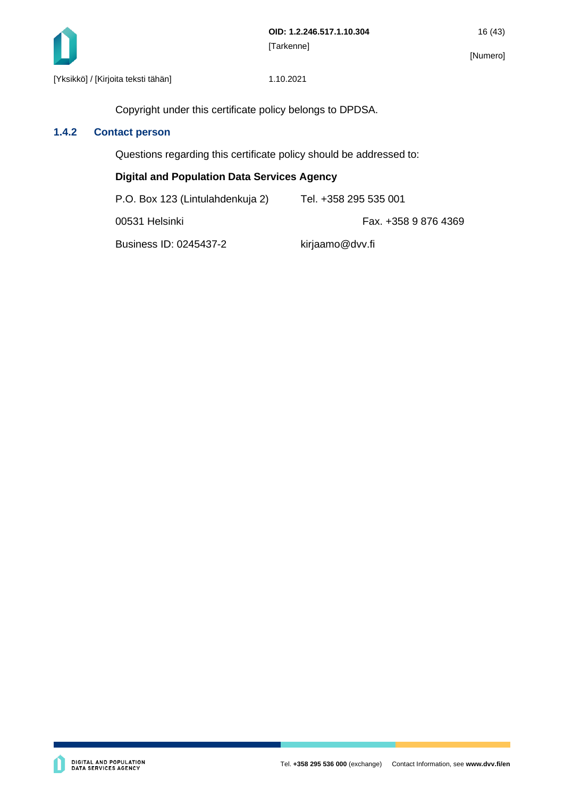

Copyright under this certificate policy belongs to DPDSA.

### <span id="page-16-0"></span>**1.4.2 Contact person**

Questions regarding this certificate policy should be addressed to:

#### **Digital and Population Data Services Agency**

| P.O. Box 123 (Lintulahdenkuja 2) | Tel. +358 295 535 001 |
|----------------------------------|-----------------------|
| 00531 Helsinki                   | Fax. +358 9 876 4369  |
| Business ID: 0245437-2           | kirjaamo@dvv.fi       |

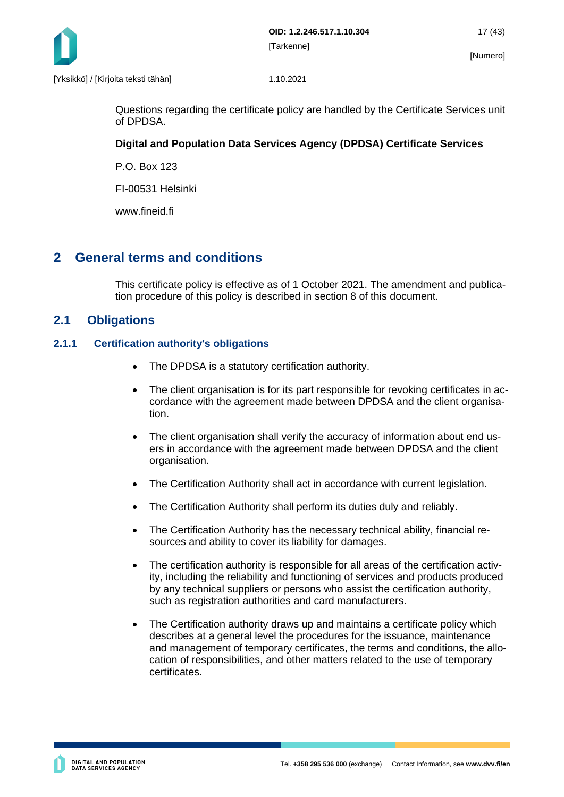

Questions regarding the certificate policy are handled by the Certificate Services unit of DPDSA.

### **Digital and Population Data Services Agency (DPDSA) Certificate Services**

P.O. Box 123

FI-00531 Helsinki

www.fineid.fi

### <span id="page-17-0"></span>**2 General terms and conditions**

This certificate policy is effective as of 1 October 2021. The amendment and publication procedure of this policy is described in section 8 of this document.

### <span id="page-17-1"></span>**2.1 Obligations**

#### <span id="page-17-2"></span>**2.1.1 Certification authority's obligations**

- The DPDSA is a statutory certification authority.
- The client organisation is for its part responsible for revoking certificates in accordance with the agreement made between DPDSA and the client organisation.
- The client organisation shall verify the accuracy of information about end users in accordance with the agreement made between DPDSA and the client organisation.
- The Certification Authority shall act in accordance with current legislation.
- The Certification Authority shall perform its duties duly and reliably.
- The Certification Authority has the necessary technical ability, financial resources and ability to cover its liability for damages.
- The certification authority is responsible for all areas of the certification activity, including the reliability and functioning of services and products produced by any technical suppliers or persons who assist the certification authority, such as registration authorities and card manufacturers.
- The Certification authority draws up and maintains a certificate policy which describes at a general level the procedures for the issuance, maintenance and management of temporary certificates, the terms and conditions, the allocation of responsibilities, and other matters related to the use of temporary certificates.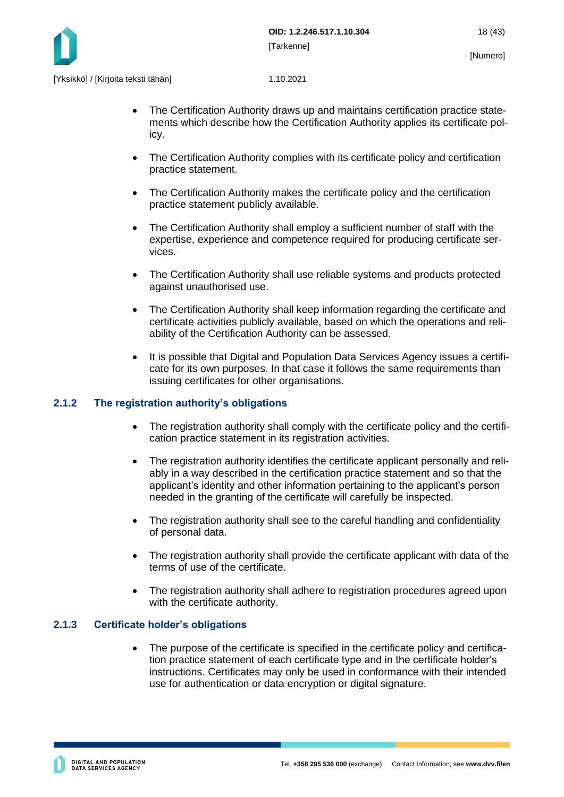

- The Certification Authority draws up and maintains certification practice statements which describe how the Certification Authority applies its certificate policy.
- The Certification Authority complies with its certificate policy and certification practice statement.
- The Certification Authority makes the certificate policy and the certification practice statement publicly available.
- The Certification Authority shall employ a sufficient number of staff with the expertise, experience and competence required for producing certificate services.
- The Certification Authority shall use reliable systems and products protected against unauthorised use.
- The Certification Authority shall keep information regarding the certificate and certificate activities publicly available, based on which the operations and reliability of the Certification Authority can be assessed.
- It is possible that Digital and Population Data Services Agency issues a certificate for its own purposes. In that case it follows the same requirements than issuing certificates for other organisations.

#### <span id="page-18-0"></span>**2.1.2 The registration authority's obligations**

- The registration authority shall comply with the certificate policy and the certification practice statement in its registration activities.
- The registration authority identifies the certificate applicant personally and reliably in a way described in the certification practice statement and so that the applicant's identity and other information pertaining to the applicant's person needed in the granting of the certificate will carefully be inspected.
- The registration authority shall see to the careful handling and confidentiality of personal data.
- The registration authority shall provide the certificate applicant with data of the terms of use of the certificate.
- The registration authority shall adhere to registration procedures agreed upon with the certificate authority.

#### <span id="page-18-1"></span>**2.1.3 Certificate holder's obligations**

The purpose of the certificate is specified in the certificate policy and certification practice statement of each certificate type and in the certificate holder's instructions. Certificates may only be used in conformance with their intended use for authentication or data encryption or digital signature.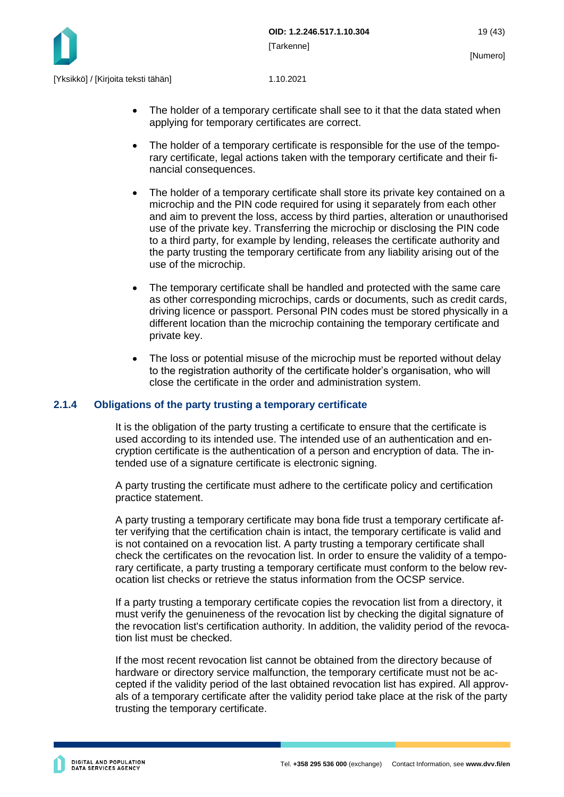

- The holder of a temporary certificate shall see to it that the data stated when applying for temporary certificates are correct.
- The holder of a temporary certificate is responsible for the use of the temporary certificate, legal actions taken with the temporary certificate and their financial consequences.
- The holder of a temporary certificate shall store its private key contained on a microchip and the PIN code required for using it separately from each other and aim to prevent the loss, access by third parties, alteration or unauthorised use of the private key. Transferring the microchip or disclosing the PIN code to a third party, for example by lending, releases the certificate authority and the party trusting the temporary certificate from any liability arising out of the use of the microchip.
- The temporary certificate shall be handled and protected with the same care as other corresponding microchips, cards or documents, such as credit cards, driving licence or passport. Personal PIN codes must be stored physically in a different location than the microchip containing the temporary certificate and private key.
- The loss or potential misuse of the microchip must be reported without delay to the registration authority of the certificate holder's organisation, who will close the certificate in the order and administration system.

#### <span id="page-19-0"></span>**2.1.4 Obligations of the party trusting a temporary certificate**

It is the obligation of the party trusting a certificate to ensure that the certificate is used according to its intended use. The intended use of an authentication and encryption certificate is the authentication of a person and encryption of data. The intended use of a signature certificate is electronic signing.

A party trusting the certificate must adhere to the certificate policy and certification practice statement.

A party trusting a temporary certificate may bona fide trust a temporary certificate after verifying that the certification chain is intact, the temporary certificate is valid and is not contained on a revocation list. A party trusting a temporary certificate shall check the certificates on the revocation list. In order to ensure the validity of a temporary certificate, a party trusting a temporary certificate must conform to the below revocation list checks or retrieve the status information from the OCSP service.

If a party trusting a temporary certificate copies the revocation list from a directory, it must verify the genuineness of the revocation list by checking the digital signature of the revocation list's certification authority. In addition, the validity period of the revocation list must be checked.

If the most recent revocation list cannot be obtained from the directory because of hardware or directory service malfunction, the temporary certificate must not be accepted if the validity period of the last obtained revocation list has expired. All approvals of a temporary certificate after the validity period take place at the risk of the party trusting the temporary certificate.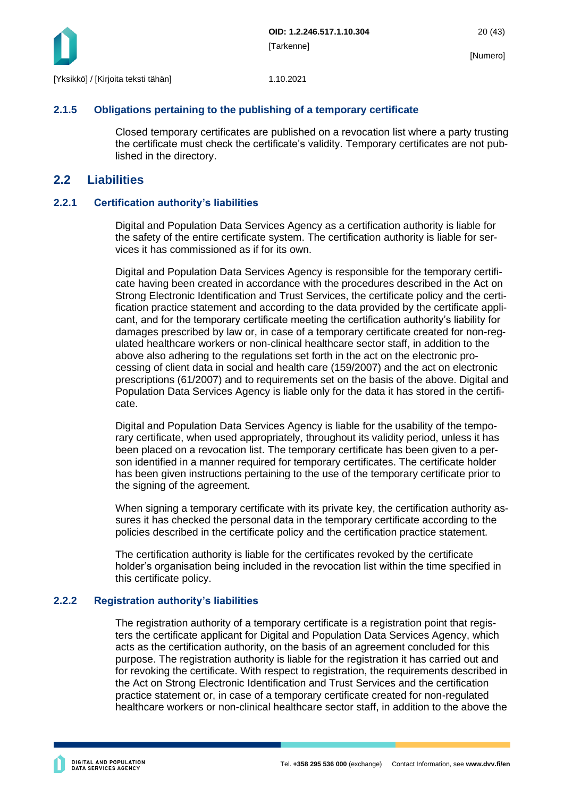

#### <span id="page-20-0"></span>**2.1.5 Obligations pertaining to the publishing of a temporary certificate**

Closed temporary certificates are published on a revocation list where a party trusting the certificate must check the certificate's validity. Temporary certificates are not published in the directory.

### <span id="page-20-1"></span>**2.2 Liabilities**

#### <span id="page-20-2"></span>**2.2.1 Certification authority's liabilities**

Digital and Population Data Services Agency as a certification authority is liable for the safety of the entire certificate system. The certification authority is liable for services it has commissioned as if for its own.

Digital and Population Data Services Agency is responsible for the temporary certificate having been created in accordance with the procedures described in the Act on Strong Electronic Identification and Trust Services, the certificate policy and the certification practice statement and according to the data provided by the certificate applicant, and for the temporary certificate meeting the certification authority's liability for damages prescribed by law or, in case of a temporary certificate created for non-regulated healthcare workers or non-clinical healthcare sector staff, in addition to the above also adhering to the regulations set forth in the act on the electronic processing of client data in social and health care (159/2007) and the act on electronic prescriptions (61/2007) and to requirements set on the basis of the above. Digital and Population Data Services Agency is liable only for the data it has stored in the certificate.

Digital and Population Data Services Agency is liable for the usability of the temporary certificate, when used appropriately, throughout its validity period, unless it has been placed on a revocation list. The temporary certificate has been given to a person identified in a manner required for temporary certificates. The certificate holder has been given instructions pertaining to the use of the temporary certificate prior to the signing of the agreement.

When signing a temporary certificate with its private key, the certification authority assures it has checked the personal data in the temporary certificate according to the policies described in the certificate policy and the certification practice statement.

The certification authority is liable for the certificates revoked by the certificate holder's organisation being included in the revocation list within the time specified in this certificate policy.

#### <span id="page-20-3"></span>**2.2.2 Registration authority's liabilities**

The registration authority of a temporary certificate is a registration point that registers the certificate applicant for Digital and Population Data Services Agency, which acts as the certification authority, on the basis of an agreement concluded for this purpose. The registration authority is liable for the registration it has carried out and for revoking the certificate. With respect to registration, the requirements described in the Act on Strong Electronic Identification and Trust Services and the certification practice statement or, in case of a temporary certificate created for non-regulated healthcare workers or non-clinical healthcare sector staff, in addition to the above the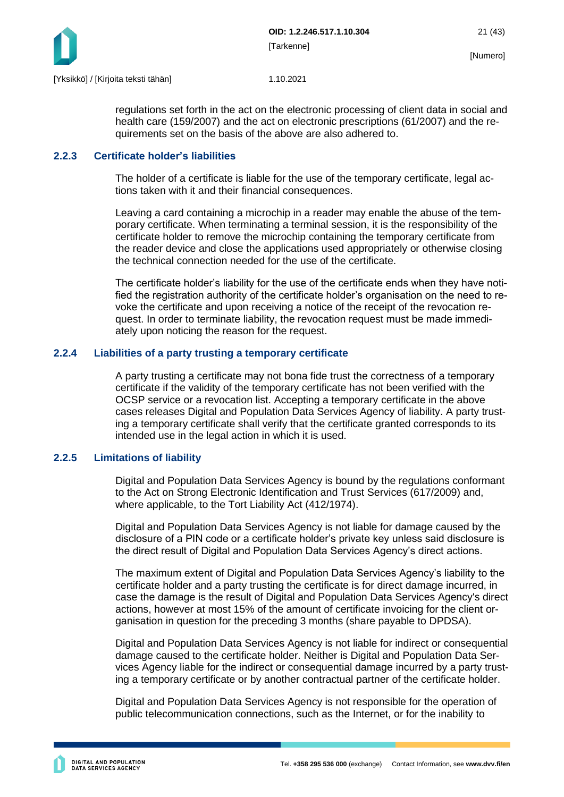

regulations set forth in the act on the electronic processing of client data in social and health care (159/2007) and the act on electronic prescriptions (61/2007) and the requirements set on the basis of the above are also adhered to.

#### <span id="page-21-0"></span>**2.2.3 Certificate holder's liabilities**

The holder of a certificate is liable for the use of the temporary certificate, legal actions taken with it and their financial consequences.

Leaving a card containing a microchip in a reader may enable the abuse of the temporary certificate. When terminating a terminal session, it is the responsibility of the certificate holder to remove the microchip containing the temporary certificate from the reader device and close the applications used appropriately or otherwise closing the technical connection needed for the use of the certificate.

The certificate holder's liability for the use of the certificate ends when they have notified the registration authority of the certificate holder's organisation on the need to revoke the certificate and upon receiving a notice of the receipt of the revocation request. In order to terminate liability, the revocation request must be made immediately upon noticing the reason for the request.

#### <span id="page-21-1"></span>**2.2.4 Liabilities of a party trusting a temporary certificate**

A party trusting a certificate may not bona fide trust the correctness of a temporary certificate if the validity of the temporary certificate has not been verified with the OCSP service or a revocation list. Accepting a temporary certificate in the above cases releases Digital and Population Data Services Agency of liability. A party trusting a temporary certificate shall verify that the certificate granted corresponds to its intended use in the legal action in which it is used.

#### <span id="page-21-2"></span>**2.2.5 Limitations of liability**

Digital and Population Data Services Agency is bound by the regulations conformant to the Act on Strong Electronic Identification and Trust Services (617/2009) and, where applicable, to the Tort Liability Act (412/1974).

Digital and Population Data Services Agency is not liable for damage caused by the disclosure of a PIN code or a certificate holder's private key unless said disclosure is the direct result of Digital and Population Data Services Agency's direct actions.

The maximum extent of Digital and Population Data Services Agency's liability to the certificate holder and a party trusting the certificate is for direct damage incurred, in case the damage is the result of Digital and Population Data Services Agency's direct actions, however at most 15% of the amount of certificate invoicing for the client organisation in question for the preceding 3 months (share payable to DPDSA).

Digital and Population Data Services Agency is not liable for indirect or consequential damage caused to the certificate holder. Neither is Digital and Population Data Services Agency liable for the indirect or consequential damage incurred by a party trusting a temporary certificate or by another contractual partner of the certificate holder.

Digital and Population Data Services Agency is not responsible for the operation of public telecommunication connections, such as the Internet, or for the inability to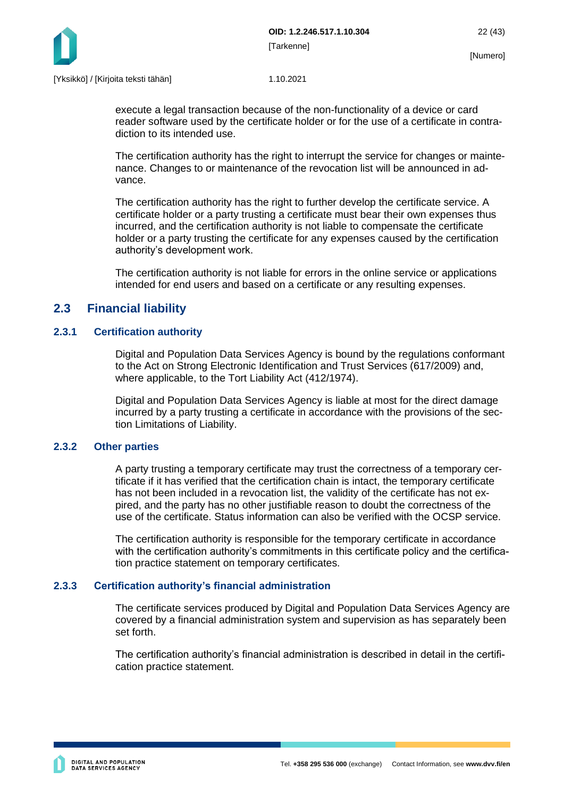

execute a legal transaction because of the non-functionality of a device or card reader software used by the certificate holder or for the use of a certificate in contradiction to its intended use.

The certification authority has the right to interrupt the service for changes or maintenance. Changes to or maintenance of the revocation list will be announced in advance.

The certification authority has the right to further develop the certificate service. A certificate holder or a party trusting a certificate must bear their own expenses thus incurred, and the certification authority is not liable to compensate the certificate holder or a party trusting the certificate for any expenses caused by the certification authority's development work.

The certification authority is not liable for errors in the online service or applications intended for end users and based on a certificate or any resulting expenses.

### <span id="page-22-0"></span>**2.3 Financial liability**

#### <span id="page-22-1"></span>**2.3.1 Certification authority**

Digital and Population Data Services Agency is bound by the regulations conformant to the Act on Strong Electronic Identification and Trust Services (617/2009) and, where applicable, to the Tort Liability Act (412/1974).

Digital and Population Data Services Agency is liable at most for the direct damage incurred by a party trusting a certificate in accordance with the provisions of the section Limitations of Liability.

#### <span id="page-22-2"></span>**2.3.2 Other parties**

A party trusting a temporary certificate may trust the correctness of a temporary certificate if it has verified that the certification chain is intact, the temporary certificate has not been included in a revocation list, the validity of the certificate has not expired, and the party has no other justifiable reason to doubt the correctness of the use of the certificate. Status information can also be verified with the OCSP service.

The certification authority is responsible for the temporary certificate in accordance with the certification authority's commitments in this certificate policy and the certification practice statement on temporary certificates.

#### <span id="page-22-3"></span>**2.3.3 Certification authority's financial administration**

The certificate services produced by Digital and Population Data Services Agency are covered by a financial administration system and supervision as has separately been set forth.

The certification authority's financial administration is described in detail in the certification practice statement.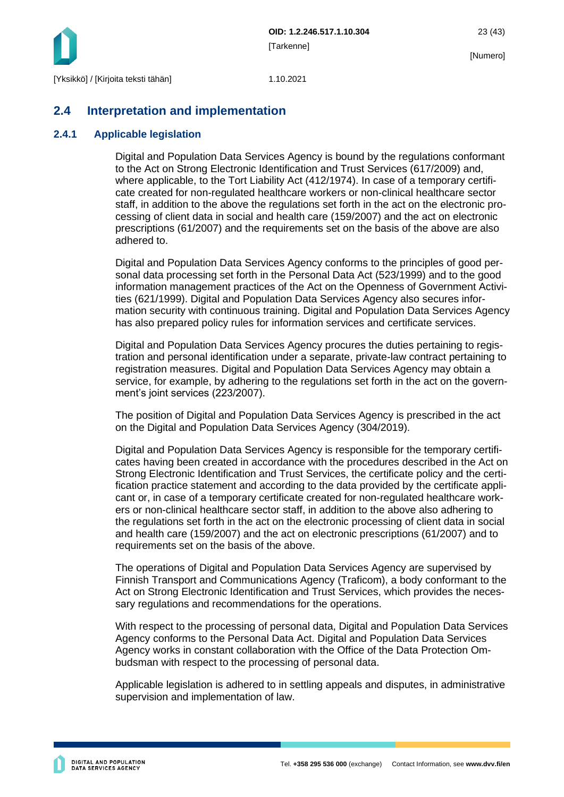

[Numero]

### <span id="page-23-0"></span>**2.4 Interpretation and implementation**

### <span id="page-23-1"></span>**2.4.1 Applicable legislation**

Digital and Population Data Services Agency is bound by the regulations conformant to the Act on Strong Electronic Identification and Trust Services (617/2009) and, where applicable, to the Tort Liability Act (412/1974). In case of a temporary certificate created for non-regulated healthcare workers or non-clinical healthcare sector staff, in addition to the above the regulations set forth in the act on the electronic processing of client data in social and health care (159/2007) and the act on electronic prescriptions (61/2007) and the requirements set on the basis of the above are also adhered to.

Digital and Population Data Services Agency conforms to the principles of good personal data processing set forth in the Personal Data Act (523/1999) and to the good information management practices of the Act on the Openness of Government Activities (621/1999). Digital and Population Data Services Agency also secures information security with continuous training. Digital and Population Data Services Agency has also prepared policy rules for information services and certificate services.

Digital and Population Data Services Agency procures the duties pertaining to registration and personal identification under a separate, private-law contract pertaining to registration measures. Digital and Population Data Services Agency may obtain a service, for example, by adhering to the regulations set forth in the act on the government's joint services (223/2007).

The position of Digital and Population Data Services Agency is prescribed in the act on the Digital and Population Data Services Agency (304/2019).

Digital and Population Data Services Agency is responsible for the temporary certificates having been created in accordance with the procedures described in the Act on Strong Electronic Identification and Trust Services, the certificate policy and the certification practice statement and according to the data provided by the certificate applicant or, in case of a temporary certificate created for non-regulated healthcare workers or non-clinical healthcare sector staff, in addition to the above also adhering to the regulations set forth in the act on the electronic processing of client data in social and health care (159/2007) and the act on electronic prescriptions (61/2007) and to requirements set on the basis of the above.

The operations of Digital and Population Data Services Agency are supervised by Finnish Transport and Communications Agency (Traficom), a body conformant to the Act on Strong Electronic Identification and Trust Services, which provides the necessary regulations and recommendations for the operations.

With respect to the processing of personal data, Digital and Population Data Services Agency conforms to the Personal Data Act. Digital and Population Data Services Agency works in constant collaboration with the Office of the Data Protection Ombudsman with respect to the processing of personal data.

Applicable legislation is adhered to in settling appeals and disputes, in administrative supervision and implementation of law.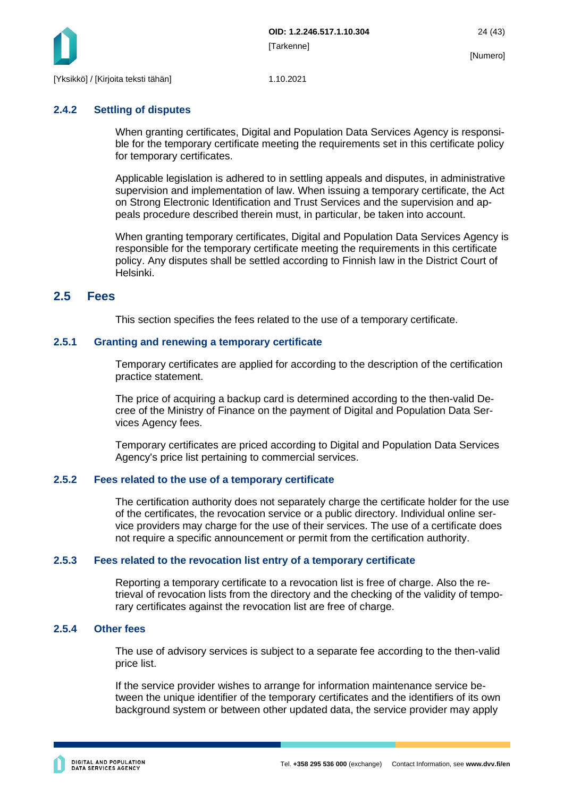

#### <span id="page-24-0"></span>**2.4.2 Settling of disputes**

When granting certificates, Digital and Population Data Services Agency is responsible for the temporary certificate meeting the requirements set in this certificate policy for temporary certificates.

Applicable legislation is adhered to in settling appeals and disputes, in administrative supervision and implementation of law. When issuing a temporary certificate, the Act on Strong Electronic Identification and Trust Services and the supervision and appeals procedure described therein must, in particular, be taken into account.

When granting temporary certificates, Digital and Population Data Services Agency is responsible for the temporary certificate meeting the requirements in this certificate policy. Any disputes shall be settled according to Finnish law in the District Court of Helsinki.

### <span id="page-24-1"></span>**2.5 Fees**

This section specifies the fees related to the use of a temporary certificate.

#### <span id="page-24-2"></span>**2.5.1 Granting and renewing a temporary certificate**

Temporary certificates are applied for according to the description of the certification practice statement.

The price of acquiring a backup card is determined according to the then-valid Decree of the Ministry of Finance on the payment of Digital and Population Data Services Agency fees.

Temporary certificates are priced according to Digital and Population Data Services Agency's price list pertaining to commercial services.

#### <span id="page-24-3"></span>**2.5.2 Fees related to the use of a temporary certificate**

The certification authority does not separately charge the certificate holder for the use of the certificates, the revocation service or a public directory. Individual online service providers may charge for the use of their services. The use of a certificate does not require a specific announcement or permit from the certification authority.

#### <span id="page-24-4"></span>**2.5.3 Fees related to the revocation list entry of a temporary certificate**

Reporting a temporary certificate to a revocation list is free of charge. Also the retrieval of revocation lists from the directory and the checking of the validity of temporary certificates against the revocation list are free of charge.

#### <span id="page-24-5"></span>**2.5.4 Other fees**

The use of advisory services is subject to a separate fee according to the then-valid price list.

If the service provider wishes to arrange for information maintenance service between the unique identifier of the temporary certificates and the identifiers of its own background system or between other updated data, the service provider may apply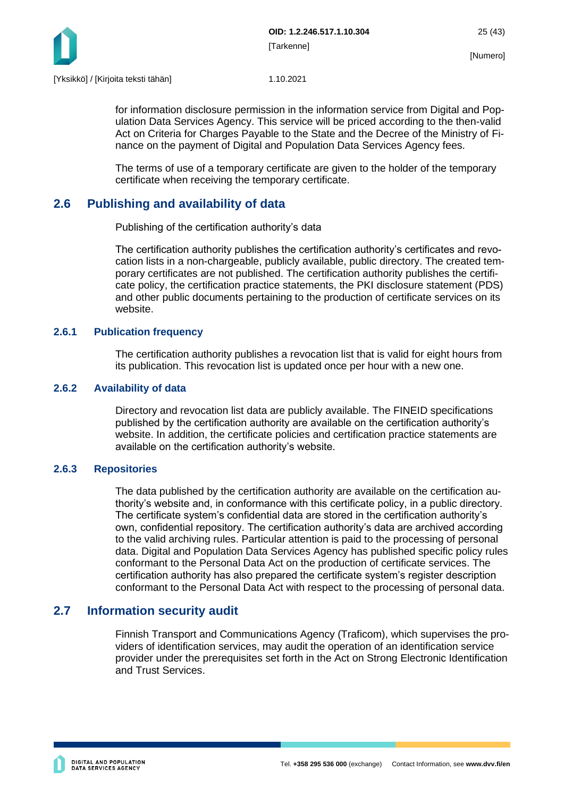

for information disclosure permission in the information service from Digital and Population Data Services Agency. This service will be priced according to the then-valid Act on Criteria for Charges Payable to the State and the Decree of the Ministry of Finance on the payment of Digital and Population Data Services Agency fees.

The terms of use of a temporary certificate are given to the holder of the temporary certificate when receiving the temporary certificate.

### <span id="page-25-0"></span>**2.6 Publishing and availability of data**

Publishing of the certification authority's data

The certification authority publishes the certification authority's certificates and revocation lists in a non-chargeable, publicly available, public directory. The created temporary certificates are not published. The certification authority publishes the certificate policy, the certification practice statements, the PKI disclosure statement (PDS) and other public documents pertaining to the production of certificate services on its website.

#### <span id="page-25-1"></span>**2.6.1 Publication frequency**

The certification authority publishes a revocation list that is valid for eight hours from its publication. This revocation list is updated once per hour with a new one.

#### <span id="page-25-2"></span>**2.6.2 Availability of data**

Directory and revocation list data are publicly available. The FINEID specifications published by the certification authority are available on the certification authority's website. In addition, the certificate policies and certification practice statements are available on the certification authority's website.

#### <span id="page-25-3"></span>**2.6.3 Repositories**

The data published by the certification authority are available on the certification authority's website and, in conformance with this certificate policy, in a public directory. The certificate system's confidential data are stored in the certification authority's own, confidential repository. The certification authority's data are archived according to the valid archiving rules. Particular attention is paid to the processing of personal data. Digital and Population Data Services Agency has published specific policy rules conformant to the Personal Data Act on the production of certificate services. The certification authority has also prepared the certificate system's register description conformant to the Personal Data Act with respect to the processing of personal data.

### <span id="page-25-4"></span>**2.7 Information security audit**

Finnish Transport and Communications Agency (Traficom), which supervises the providers of identification services, may audit the operation of an identification service provider under the prerequisites set forth in the Act on Strong Electronic Identification and Trust Services.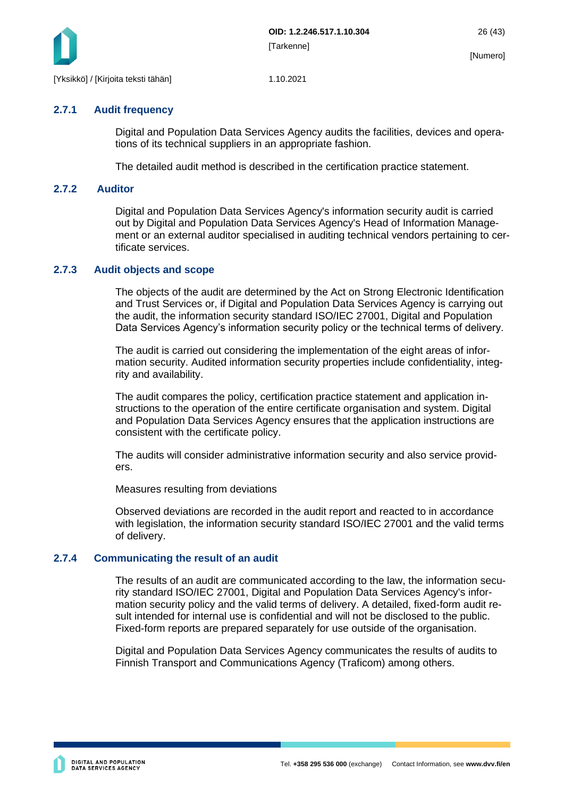

#### <span id="page-26-0"></span>**2.7.1 Audit frequency**

Digital and Population Data Services Agency audits the facilities, devices and operations of its technical suppliers in an appropriate fashion.

<span id="page-26-1"></span>The detailed audit method is described in the certification practice statement.

#### **2.7.2 Auditor**

Digital and Population Data Services Agency's information security audit is carried out by Digital and Population Data Services Agency's Head of Information Management or an external auditor specialised in auditing technical vendors pertaining to certificate services.

#### <span id="page-26-2"></span>**2.7.3 Audit objects and scope**

The objects of the audit are determined by the Act on Strong Electronic Identification and Trust Services or, if Digital and Population Data Services Agency is carrying out the audit, the information security standard ISO/IEC 27001, Digital and Population Data Services Agency's information security policy or the technical terms of delivery.

The audit is carried out considering the implementation of the eight areas of information security. Audited information security properties include confidentiality, integrity and availability.

The audit compares the policy, certification practice statement and application instructions to the operation of the entire certificate organisation and system. Digital and Population Data Services Agency ensures that the application instructions are consistent with the certificate policy.

The audits will consider administrative information security and also service providers.

Measures resulting from deviations

Observed deviations are recorded in the audit report and reacted to in accordance with legislation, the information security standard ISO/IEC 27001 and the valid terms of delivery.

#### <span id="page-26-3"></span>**2.7.4 Communicating the result of an audit**

The results of an audit are communicated according to the law, the information security standard ISO/IEC 27001, Digital and Population Data Services Agency's information security policy and the valid terms of delivery. A detailed, fixed-form audit result intended for internal use is confidential and will not be disclosed to the public. Fixed-form reports are prepared separately for use outside of the organisation.

Digital and Population Data Services Agency communicates the results of audits to Finnish Transport and Communications Agency (Traficom) among others.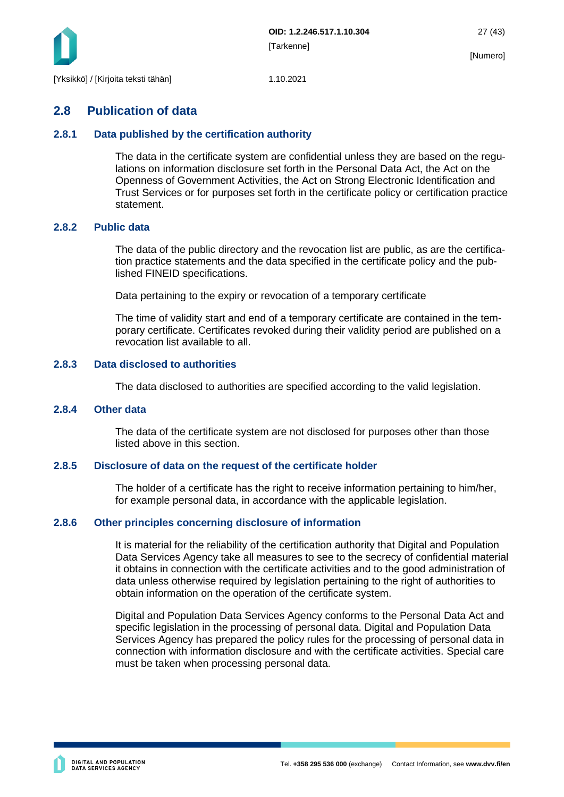

### <span id="page-27-0"></span>**2.8 Publication of data**

#### <span id="page-27-1"></span>**2.8.1 Data published by the certification authority**

The data in the certificate system are confidential unless they are based on the regulations on information disclosure set forth in the Personal Data Act, the Act on the Openness of Government Activities, the Act on Strong Electronic Identification and Trust Services or for purposes set forth in the certificate policy or certification practice statement.

#### <span id="page-27-2"></span>**2.8.2 Public data**

The data of the public directory and the revocation list are public, as are the certification practice statements and the data specified in the certificate policy and the published FINEID specifications.

Data pertaining to the expiry or revocation of a temporary certificate

The time of validity start and end of a temporary certificate are contained in the temporary certificate. Certificates revoked during their validity period are published on a revocation list available to all.

#### <span id="page-27-3"></span>**2.8.3 Data disclosed to authorities**

The data disclosed to authorities are specified according to the valid legislation.

#### <span id="page-27-4"></span>**2.8.4 Other data**

The data of the certificate system are not disclosed for purposes other than those listed above in this section.

#### <span id="page-27-5"></span>**2.8.5 Disclosure of data on the request of the certificate holder**

The holder of a certificate has the right to receive information pertaining to him/her, for example personal data, in accordance with the applicable legislation.

#### <span id="page-27-6"></span>**2.8.6 Other principles concerning disclosure of information**

It is material for the reliability of the certification authority that Digital and Population Data Services Agency take all measures to see to the secrecy of confidential material it obtains in connection with the certificate activities and to the good administration of data unless otherwise required by legislation pertaining to the right of authorities to obtain information on the operation of the certificate system.

Digital and Population Data Services Agency conforms to the Personal Data Act and specific legislation in the processing of personal data. Digital and Population Data Services Agency has prepared the policy rules for the processing of personal data in connection with information disclosure and with the certificate activities. Special care must be taken when processing personal data.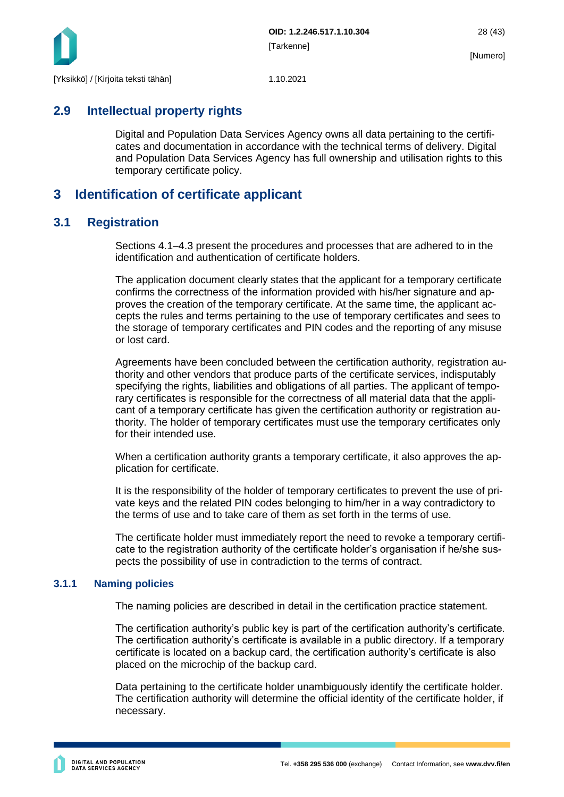

### <span id="page-28-0"></span>**2.9 Intellectual property rights**

Digital and Population Data Services Agency owns all data pertaining to the certificates and documentation in accordance with the technical terms of delivery. Digital and Population Data Services Agency has full ownership and utilisation rights to this temporary certificate policy.

### <span id="page-28-1"></span>**3 Identification of certificate applicant**

### <span id="page-28-2"></span>**3.1 Registration**

Sections 4.1–4.3 present the procedures and processes that are adhered to in the identification and authentication of certificate holders.

The application document clearly states that the applicant for a temporary certificate confirms the correctness of the information provided with his/her signature and approves the creation of the temporary certificate. At the same time, the applicant accepts the rules and terms pertaining to the use of temporary certificates and sees to the storage of temporary certificates and PIN codes and the reporting of any misuse or lost card.

Agreements have been concluded between the certification authority, registration authority and other vendors that produce parts of the certificate services, indisputably specifying the rights, liabilities and obligations of all parties. The applicant of temporary certificates is responsible for the correctness of all material data that the applicant of a temporary certificate has given the certification authority or registration authority. The holder of temporary certificates must use the temporary certificates only for their intended use.

When a certification authority grants a temporary certificate, it also approves the application for certificate.

It is the responsibility of the holder of temporary certificates to prevent the use of private keys and the related PIN codes belonging to him/her in a way contradictory to the terms of use and to take care of them as set forth in the terms of use.

The certificate holder must immediately report the need to revoke a temporary certificate to the registration authority of the certificate holder's organisation if he/she suspects the possibility of use in contradiction to the terms of contract.

#### <span id="page-28-3"></span>**3.1.1 Naming policies**

The naming policies are described in detail in the certification practice statement.

The certification authority's public key is part of the certification authority's certificate. The certification authority's certificate is available in a public directory. If a temporary certificate is located on a backup card, the certification authority's certificate is also placed on the microchip of the backup card.

Data pertaining to the certificate holder unambiguously identify the certificate holder. The certification authority will determine the official identity of the certificate holder, if necessary.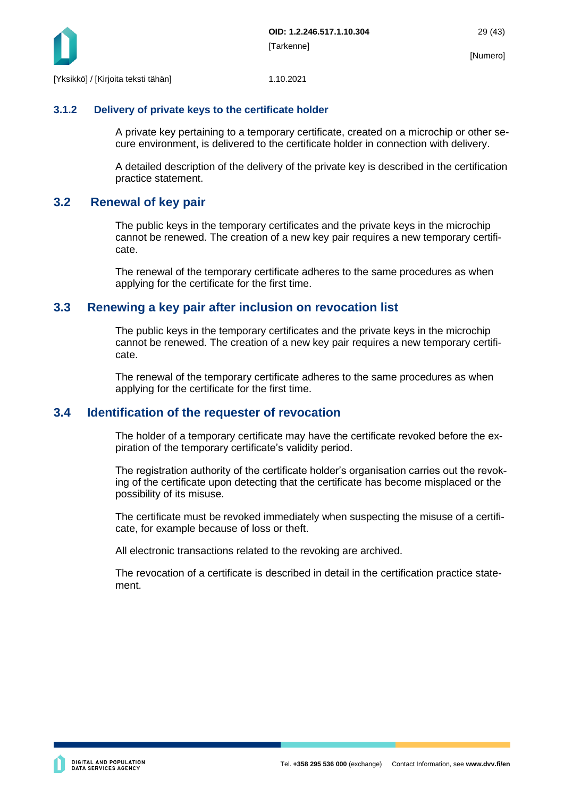

#### <span id="page-29-0"></span>**3.1.2 Delivery of private keys to the certificate holder**

A private key pertaining to a temporary certificate, created on a microchip or other secure environment, is delivered to the certificate holder in connection with delivery.

A detailed description of the delivery of the private key is described in the certification practice statement.

### <span id="page-29-1"></span>**3.2 Renewal of key pair**

The public keys in the temporary certificates and the private keys in the microchip cannot be renewed. The creation of a new key pair requires a new temporary certificate.

The renewal of the temporary certificate adheres to the same procedures as when applying for the certificate for the first time.

### <span id="page-29-2"></span>**3.3 Renewing a key pair after inclusion on revocation list**

The public keys in the temporary certificates and the private keys in the microchip cannot be renewed. The creation of a new key pair requires a new temporary certificate.

The renewal of the temporary certificate adheres to the same procedures as when applying for the certificate for the first time.

### <span id="page-29-3"></span>**3.4 Identification of the requester of revocation**

The holder of a temporary certificate may have the certificate revoked before the expiration of the temporary certificate's validity period.

The registration authority of the certificate holder's organisation carries out the revoking of the certificate upon detecting that the certificate has become misplaced or the possibility of its misuse.

The certificate must be revoked immediately when suspecting the misuse of a certificate, for example because of loss or theft.

All electronic transactions related to the revoking are archived.

The revocation of a certificate is described in detail in the certification practice statement.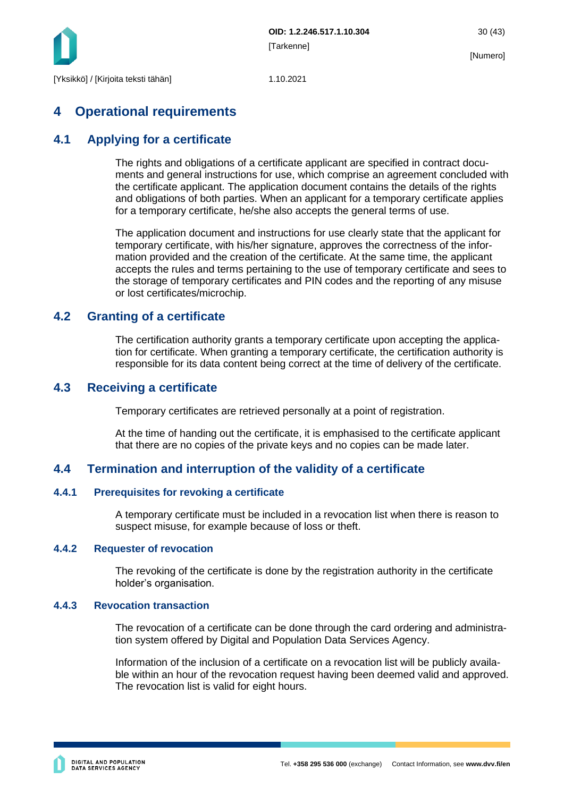

## <span id="page-30-0"></span>**4 Operational requirements**

### <span id="page-30-1"></span>**4.1 Applying for a certificate**

The rights and obligations of a certificate applicant are specified in contract documents and general instructions for use, which comprise an agreement concluded with the certificate applicant. The application document contains the details of the rights and obligations of both parties. When an applicant for a temporary certificate applies for a temporary certificate, he/she also accepts the general terms of use.

The application document and instructions for use clearly state that the applicant for temporary certificate, with his/her signature, approves the correctness of the information provided and the creation of the certificate. At the same time, the applicant accepts the rules and terms pertaining to the use of temporary certificate and sees to the storage of temporary certificates and PIN codes and the reporting of any misuse or lost certificates/microchip.

### <span id="page-30-2"></span>**4.2 Granting of a certificate**

The certification authority grants a temporary certificate upon accepting the application for certificate. When granting a temporary certificate, the certification authority is responsible for its data content being correct at the time of delivery of the certificate.

### <span id="page-30-3"></span>**4.3 Receiving a certificate**

Temporary certificates are retrieved personally at a point of registration.

At the time of handing out the certificate, it is emphasised to the certificate applicant that there are no copies of the private keys and no copies can be made later.

### <span id="page-30-4"></span>**4.4 Termination and interruption of the validity of a certificate**

#### <span id="page-30-5"></span>**4.4.1 Prerequisites for revoking a certificate**

A temporary certificate must be included in a revocation list when there is reason to suspect misuse, for example because of loss or theft.

#### <span id="page-30-6"></span>**4.4.2 Requester of revocation**

The revoking of the certificate is done by the registration authority in the certificate holder's organisation.

#### <span id="page-30-7"></span>**4.4.3 Revocation transaction**

The revocation of a certificate can be done through the card ordering and administration system offered by Digital and Population Data Services Agency.

Information of the inclusion of a certificate on a revocation list will be publicly available within an hour of the revocation request having been deemed valid and approved. The revocation list is valid for eight hours.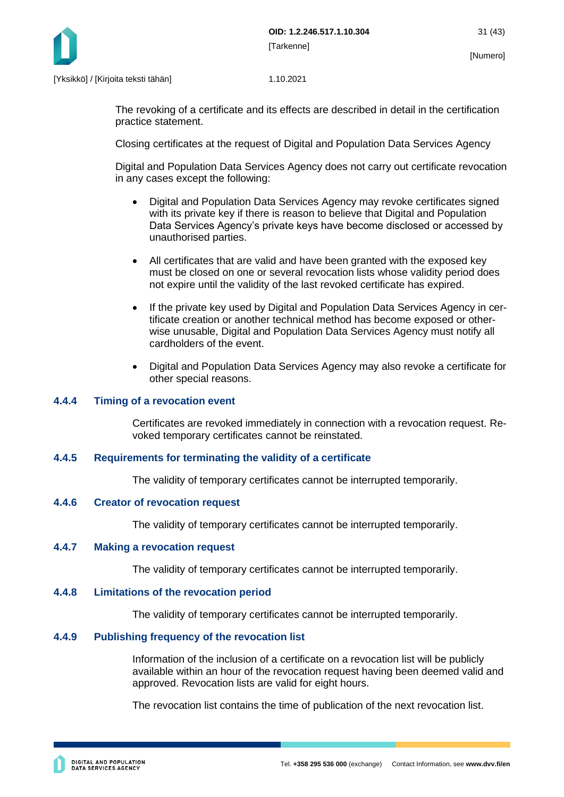

The revoking of a certificate and its effects are described in detail in the certification practice statement.

Closing certificates at the request of Digital and Population Data Services Agency

Digital and Population Data Services Agency does not carry out certificate revocation in any cases except the following:

- Digital and Population Data Services Agency may revoke certificates signed with its private key if there is reason to believe that Digital and Population Data Services Agency's private keys have become disclosed or accessed by unauthorised parties.
- All certificates that are valid and have been granted with the exposed key must be closed on one or several revocation lists whose validity period does not expire until the validity of the last revoked certificate has expired.
- If the private key used by Digital and Population Data Services Agency in certificate creation or another technical method has become exposed or otherwise unusable, Digital and Population Data Services Agency must notify all cardholders of the event.
- Digital and Population Data Services Agency may also revoke a certificate for other special reasons.

#### <span id="page-31-0"></span>**4.4.4 Timing of a revocation event**

Certificates are revoked immediately in connection with a revocation request. Revoked temporary certificates cannot be reinstated.

#### <span id="page-31-1"></span>**4.4.5 Requirements for terminating the validity of a certificate**

The validity of temporary certificates cannot be interrupted temporarily.

#### <span id="page-31-2"></span>**4.4.6 Creator of revocation request**

The validity of temporary certificates cannot be interrupted temporarily.

#### <span id="page-31-3"></span>**4.4.7 Making a revocation request**

The validity of temporary certificates cannot be interrupted temporarily.

#### <span id="page-31-4"></span>**4.4.8 Limitations of the revocation period**

The validity of temporary certificates cannot be interrupted temporarily.

#### <span id="page-31-5"></span>**4.4.9 Publishing frequency of the revocation list**

Information of the inclusion of a certificate on a revocation list will be publicly available within an hour of the revocation request having been deemed valid and approved. Revocation lists are valid for eight hours.

The revocation list contains the time of publication of the next revocation list.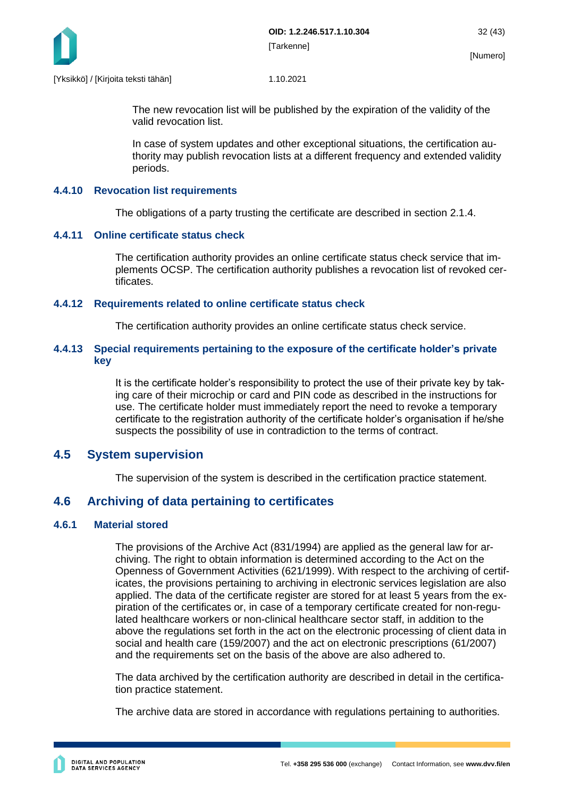

The new revocation list will be published by the expiration of the validity of the valid revocation list.

In case of system updates and other exceptional situations, the certification authority may publish revocation lists at a different frequency and extended validity periods.

#### <span id="page-32-0"></span>**4.4.10 Revocation list requirements**

The obligations of a party trusting the certificate are described in section 2.1.4.

#### <span id="page-32-1"></span>**4.4.11 Online certificate status check**

The certification authority provides an online certificate status check service that implements OCSP. The certification authority publishes a revocation list of revoked certificates.

#### <span id="page-32-2"></span>**4.4.12 Requirements related to online certificate status check**

The certification authority provides an online certificate status check service.

#### <span id="page-32-3"></span>**4.4.13 Special requirements pertaining to the exposure of the certificate holder's private key**

It is the certificate holder's responsibility to protect the use of their private key by taking care of their microchip or card and PIN code as described in the instructions for use. The certificate holder must immediately report the need to revoke a temporary certificate to the registration authority of the certificate holder's organisation if he/she suspects the possibility of use in contradiction to the terms of contract.

### <span id="page-32-4"></span>**4.5 System supervision**

The supervision of the system is described in the certification practice statement.

### <span id="page-32-5"></span>**4.6 Archiving of data pertaining to certificates**

#### <span id="page-32-6"></span>**4.6.1 Material stored**

The provisions of the Archive Act (831/1994) are applied as the general law for archiving. The right to obtain information is determined according to the Act on the Openness of Government Activities (621/1999). With respect to the archiving of certificates, the provisions pertaining to archiving in electronic services legislation are also applied. The data of the certificate register are stored for at least 5 years from the expiration of the certificates or, in case of a temporary certificate created for non-regulated healthcare workers or non-clinical healthcare sector staff, in addition to the above the regulations set forth in the act on the electronic processing of client data in social and health care (159/2007) and the act on electronic prescriptions (61/2007) and the requirements set on the basis of the above are also adhered to.

The data archived by the certification authority are described in detail in the certification practice statement.

The archive data are stored in accordance with regulations pertaining to authorities.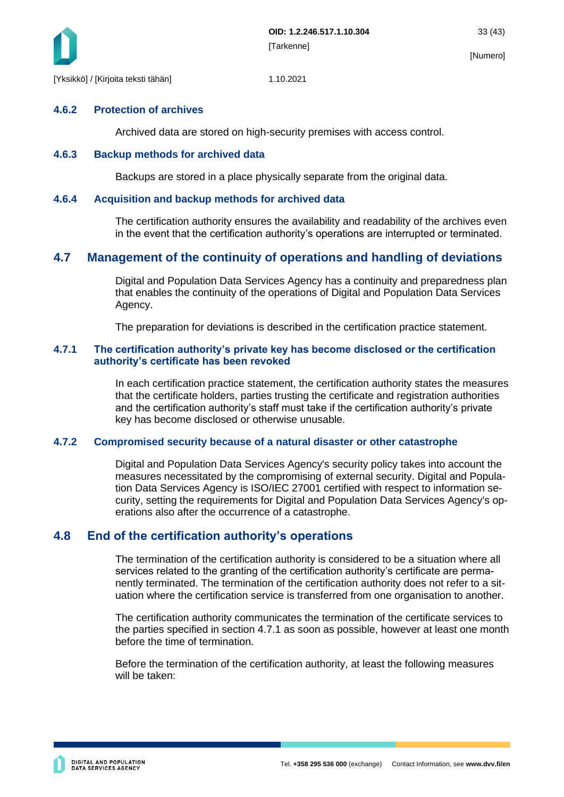

#### <span id="page-33-0"></span>**4.6.2 Protection of archives**

Archived data are stored on high-security premises with access control.

#### <span id="page-33-1"></span>**4.6.3 Backup methods for archived data**

Backups are stored in a place physically separate from the original data.

#### <span id="page-33-2"></span>**4.6.4 Acquisition and backup methods for archived data**

The certification authority ensures the availability and readability of the archives even in the event that the certification authority's operations are interrupted or terminated.

### <span id="page-33-3"></span>**4.7 Management of the continuity of operations and handling of deviations**

Digital and Population Data Services Agency has a continuity and preparedness plan that enables the continuity of the operations of Digital and Population Data Services Agency.

The preparation for deviations is described in the certification practice statement.

#### <span id="page-33-4"></span>**4.7.1 The certification authority's private key has become disclosed or the certification authority's certificate has been revoked**

In each certification practice statement, the certification authority states the measures that the certificate holders, parties trusting the certificate and registration authorities and the certification authority's staff must take if the certification authority's private key has become disclosed or otherwise unusable.

#### <span id="page-33-5"></span>**4.7.2 Compromised security because of a natural disaster or other catastrophe**

Digital and Population Data Services Agency's security policy takes into account the measures necessitated by the compromising of external security. Digital and Population Data Services Agency is ISO/IEC 27001 certified with respect to information security, setting the requirements for Digital and Population Data Services Agency's operations also after the occurrence of a catastrophe.

### <span id="page-33-6"></span>**4.8 End of the certification authority's operations**

The termination of the certification authority is considered to be a situation where all services related to the granting of the certification authority's certificate are permanently terminated. The termination of the certification authority does not refer to a situation where the certification service is transferred from one organisation to another.

The certification authority communicates the termination of the certificate services to the parties specified in section 4.7.1 as soon as possible, however at least one month before the time of termination.

Before the termination of the certification authority, at least the following measures will be taken: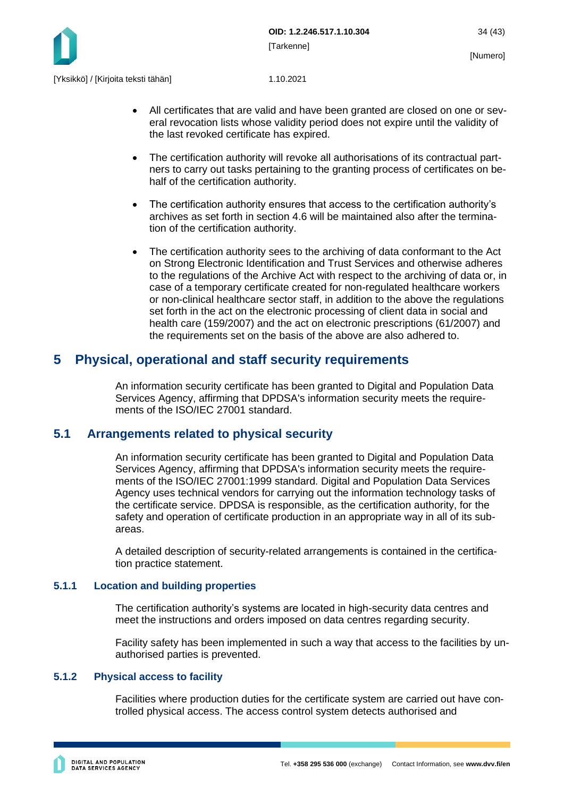

- All certificates that are valid and have been granted are closed on one or several revocation lists whose validity period does not expire until the validity of the last revoked certificate has expired.
- The certification authority will revoke all authorisations of its contractual partners to carry out tasks pertaining to the granting process of certificates on behalf of the certification authority.
- The certification authority ensures that access to the certification authority's archives as set forth in section 4.6 will be maintained also after the termination of the certification authority.
- The certification authority sees to the archiving of data conformant to the Act on Strong Electronic Identification and Trust Services and otherwise adheres to the regulations of the Archive Act with respect to the archiving of data or, in case of a temporary certificate created for non-regulated healthcare workers or non-clinical healthcare sector staff, in addition to the above the regulations set forth in the act on the electronic processing of client data in social and health care (159/2007) and the act on electronic prescriptions (61/2007) and the requirements set on the basis of the above are also adhered to.

### <span id="page-34-0"></span>**5 Physical, operational and staff security requirements**

An information security certificate has been granted to Digital and Population Data Services Agency, affirming that DPDSA's information security meets the requirements of the ISO/IEC 27001 standard.

### <span id="page-34-1"></span>**5.1 Arrangements related to physical security**

An information security certificate has been granted to Digital and Population Data Services Agency, affirming that DPDSA's information security meets the requirements of the ISO/IEC 27001:1999 standard. Digital and Population Data Services Agency uses technical vendors for carrying out the information technology tasks of the certificate service. DPDSA is responsible, as the certification authority, for the safety and operation of certificate production in an appropriate way in all of its subareas.

A detailed description of security-related arrangements is contained in the certification practice statement.

#### <span id="page-34-2"></span>**5.1.1 Location and building properties**

The certification authority's systems are located in high-security data centres and meet the instructions and orders imposed on data centres regarding security.

Facility safety has been implemented in such a way that access to the facilities by unauthorised parties is prevented.

#### <span id="page-34-3"></span>**5.1.2 Physical access to facility**

Facilities where production duties for the certificate system are carried out have controlled physical access. The access control system detects authorised and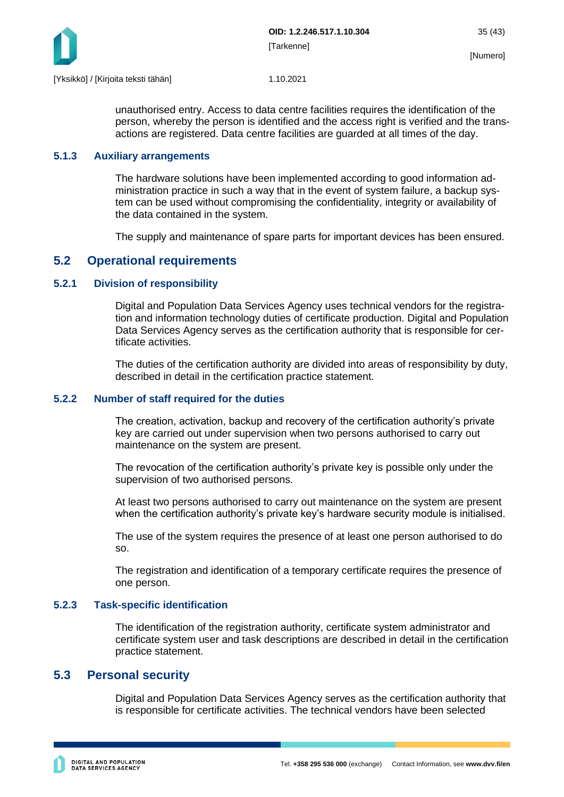

unauthorised entry. Access to data centre facilities requires the identification of the person, whereby the person is identified and the access right is verified and the transactions are registered. Data centre facilities are guarded at all times of the day.

#### <span id="page-35-0"></span>**5.1.3 Auxiliary arrangements**

The hardware solutions have been implemented according to good information administration practice in such a way that in the event of system failure, a backup system can be used without compromising the confidentiality, integrity or availability of the data contained in the system.

The supply and maintenance of spare parts for important devices has been ensured.

### <span id="page-35-1"></span>**5.2 Operational requirements**

#### <span id="page-35-2"></span>**5.2.1 Division of responsibility**

Digital and Population Data Services Agency uses technical vendors for the registration and information technology duties of certificate production. Digital and Population Data Services Agency serves as the certification authority that is responsible for certificate activities.

The duties of the certification authority are divided into areas of responsibility by duty, described in detail in the certification practice statement.

#### <span id="page-35-3"></span>**5.2.2 Number of staff required for the duties**

The creation, activation, backup and recovery of the certification authority's private key are carried out under supervision when two persons authorised to carry out maintenance on the system are present.

The revocation of the certification authority's private key is possible only under the supervision of two authorised persons.

At least two persons authorised to carry out maintenance on the system are present when the certification authority's private key's hardware security module is initialised.

The use of the system requires the presence of at least one person authorised to do so.

The registration and identification of a temporary certificate requires the presence of one person.

#### <span id="page-35-4"></span>**5.2.3 Task-specific identification**

The identification of the registration authority, certificate system administrator and certificate system user and task descriptions are described in detail in the certification practice statement.

### <span id="page-35-5"></span>**5.3 Personal security**

Digital and Population Data Services Agency serves as the certification authority that is responsible for certificate activities. The technical vendors have been selected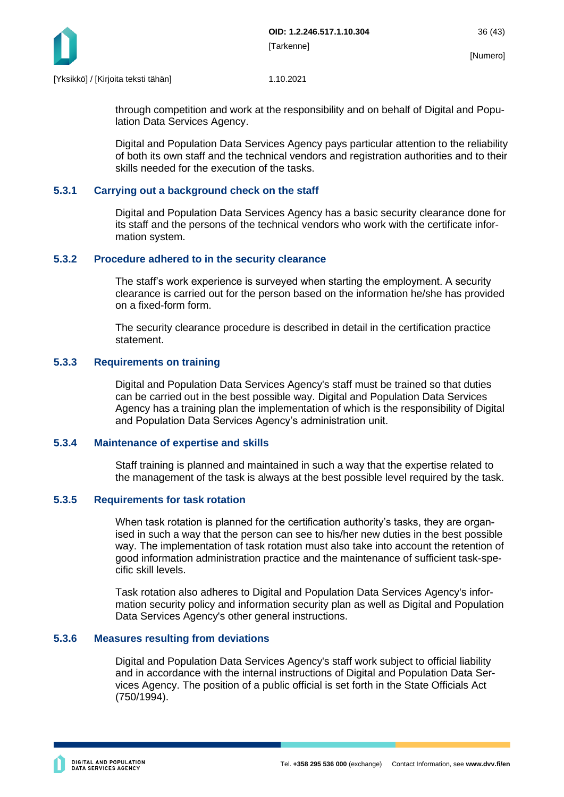

through competition and work at the responsibility and on behalf of Digital and Population Data Services Agency.

Digital and Population Data Services Agency pays particular attention to the reliability of both its own staff and the technical vendors and registration authorities and to their skills needed for the execution of the tasks.

#### <span id="page-36-0"></span>**5.3.1 Carrying out a background check on the staff**

Digital and Population Data Services Agency has a basic security clearance done for its staff and the persons of the technical vendors who work with the certificate information system.

#### <span id="page-36-1"></span>**5.3.2 Procedure adhered to in the security clearance**

The staff's work experience is surveyed when starting the employment. A security clearance is carried out for the person based on the information he/she has provided on a fixed-form form.

The security clearance procedure is described in detail in the certification practice statement.

#### <span id="page-36-2"></span>**5.3.3 Requirements on training**

Digital and Population Data Services Agency's staff must be trained so that duties can be carried out in the best possible way. Digital and Population Data Services Agency has a training plan the implementation of which is the responsibility of Digital and Population Data Services Agency's administration unit.

#### <span id="page-36-3"></span>**5.3.4 Maintenance of expertise and skills**

Staff training is planned and maintained in such a way that the expertise related to the management of the task is always at the best possible level required by the task.

#### <span id="page-36-4"></span>**5.3.5 Requirements for task rotation**

When task rotation is planned for the certification authority's tasks, they are organised in such a way that the person can see to his/her new duties in the best possible way. The implementation of task rotation must also take into account the retention of good information administration practice and the maintenance of sufficient task-specific skill levels.

Task rotation also adheres to Digital and Population Data Services Agency's information security policy and information security plan as well as Digital and Population Data Services Agency's other general instructions.

#### <span id="page-36-5"></span>**5.3.6 Measures resulting from deviations**

Digital and Population Data Services Agency's staff work subject to official liability and in accordance with the internal instructions of Digital and Population Data Services Agency. The position of a public official is set forth in the State Officials Act (750/1994).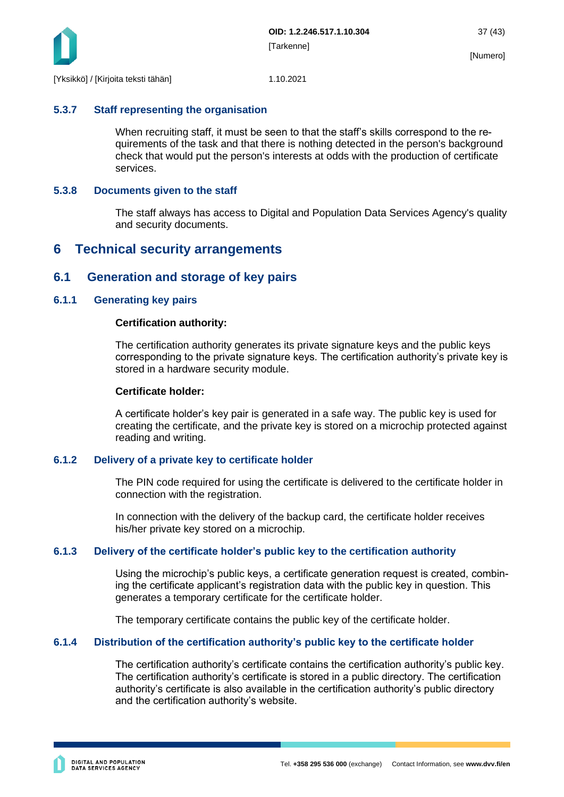

#### <span id="page-37-0"></span>**5.3.7 Staff representing the organisation**

When recruiting staff, it must be seen to that the staff's skills correspond to the requirements of the task and that there is nothing detected in the person's background check that would put the person's interests at odds with the production of certificate services.

#### <span id="page-37-1"></span>**5.3.8 Documents given to the staff**

The staff always has access to Digital and Population Data Services Agency's quality and security documents.

### <span id="page-37-2"></span>**6 Technical security arrangements**

### <span id="page-37-3"></span>**6.1 Generation and storage of key pairs**

#### <span id="page-37-4"></span>**6.1.1 Generating key pairs**

#### **Certification authority:**

The certification authority generates its private signature keys and the public keys corresponding to the private signature keys. The certification authority's private key is stored in a hardware security module.

#### **Certificate holder:**

A certificate holder's key pair is generated in a safe way. The public key is used for creating the certificate, and the private key is stored on a microchip protected against reading and writing.

#### <span id="page-37-5"></span>**6.1.2 Delivery of a private key to certificate holder**

The PIN code required for using the certificate is delivered to the certificate holder in connection with the registration.

In connection with the delivery of the backup card, the certificate holder receives his/her private key stored on a microchip.

#### <span id="page-37-6"></span>**6.1.3 Delivery of the certificate holder's public key to the certification authority**

Using the microchip's public keys, a certificate generation request is created, combining the certificate applicant's registration data with the public key in question. This generates a temporary certificate for the certificate holder.

The temporary certificate contains the public key of the certificate holder.

#### <span id="page-37-7"></span>**6.1.4 Distribution of the certification authority's public key to the certificate holder**

The certification authority's certificate contains the certification authority's public key. The certification authority's certificate is stored in a public directory. The certification authority's certificate is also available in the certification authority's public directory and the certification authority's website.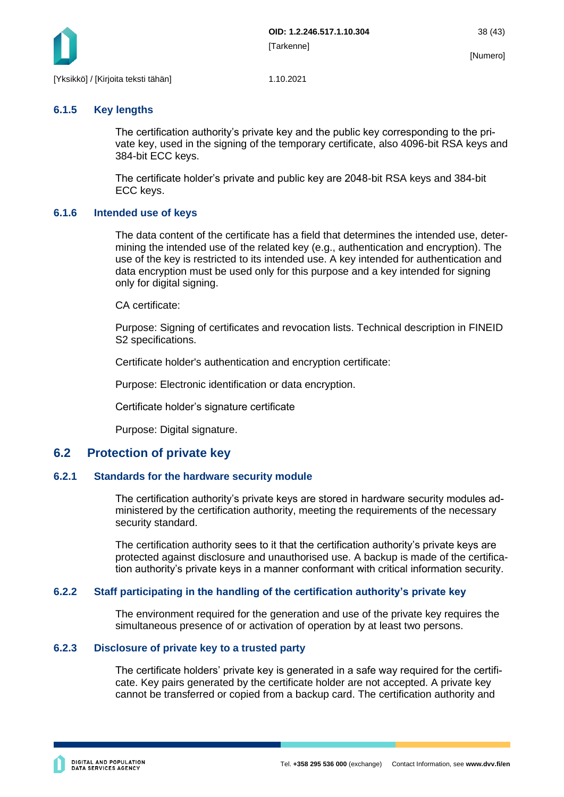

#### <span id="page-38-0"></span>**6.1.5 Key lengths**

The certification authority's private key and the public key corresponding to the private key, used in the signing of the temporary certificate, also 4096-bit RSA keys and 384-bit ECC keys.

The certificate holder's private and public key are 2048-bit RSA keys and 384-bit ECC keys.

#### <span id="page-38-1"></span>**6.1.6 Intended use of keys**

The data content of the certificate has a field that determines the intended use, determining the intended use of the related key (e.g., authentication and encryption). The use of the key is restricted to its intended use. A key intended for authentication and data encryption must be used only for this purpose and a key intended for signing only for digital signing.

CA certificate:

Purpose: Signing of certificates and revocation lists. Technical description in FINEID S2 specifications.

Certificate holder's authentication and encryption certificate:

Purpose: Electronic identification or data encryption.

Certificate holder's signature certificate

Purpose: Digital signature.

### <span id="page-38-2"></span>**6.2 Protection of private key**

#### <span id="page-38-3"></span>**6.2.1 Standards for the hardware security module**

The certification authority's private keys are stored in hardware security modules administered by the certification authority, meeting the requirements of the necessary security standard.

The certification authority sees to it that the certification authority's private keys are protected against disclosure and unauthorised use. A backup is made of the certification authority's private keys in a manner conformant with critical information security.

#### <span id="page-38-4"></span>**6.2.2 Staff participating in the handling of the certification authority's private key**

The environment required for the generation and use of the private key requires the simultaneous presence of or activation of operation by at least two persons.

#### <span id="page-38-5"></span>**6.2.3 Disclosure of private key to a trusted party**

The certificate holders' private key is generated in a safe way required for the certificate. Key pairs generated by the certificate holder are not accepted. A private key cannot be transferred or copied from a backup card. The certification authority and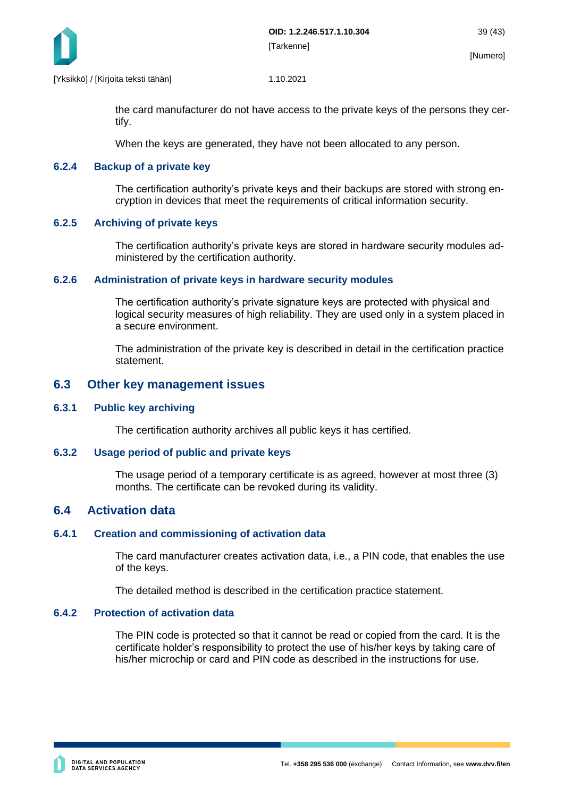

the card manufacturer do not have access to the private keys of the persons they certify.

When the keys are generated, they have not been allocated to any person.

#### <span id="page-39-0"></span>**6.2.4 Backup of a private key**

The certification authority's private keys and their backups are stored with strong encryption in devices that meet the requirements of critical information security.

#### <span id="page-39-1"></span>**6.2.5 Archiving of private keys**

The certification authority's private keys are stored in hardware security modules administered by the certification authority.

#### <span id="page-39-2"></span>**6.2.6 Administration of private keys in hardware security modules**

The certification authority's private signature keys are protected with physical and logical security measures of high reliability. They are used only in a system placed in a secure environment.

The administration of the private key is described in detail in the certification practice statement.

#### <span id="page-39-3"></span>**6.3 Other key management issues**

#### <span id="page-39-4"></span>**6.3.1 Public key archiving**

The certification authority archives all public keys it has certified.

#### <span id="page-39-5"></span>**6.3.2 Usage period of public and private keys**

The usage period of a temporary certificate is as agreed, however at most three (3) months. The certificate can be revoked during its validity.

### <span id="page-39-6"></span>**6.4 Activation data**

#### <span id="page-39-7"></span>**6.4.1 Creation and commissioning of activation data**

The card manufacturer creates activation data, i.e., a PIN code, that enables the use of the keys.

The detailed method is described in the certification practice statement.

#### <span id="page-39-8"></span>**6.4.2 Protection of activation data**

The PIN code is protected so that it cannot be read or copied from the card. It is the certificate holder's responsibility to protect the use of his/her keys by taking care of his/her microchip or card and PIN code as described in the instructions for use.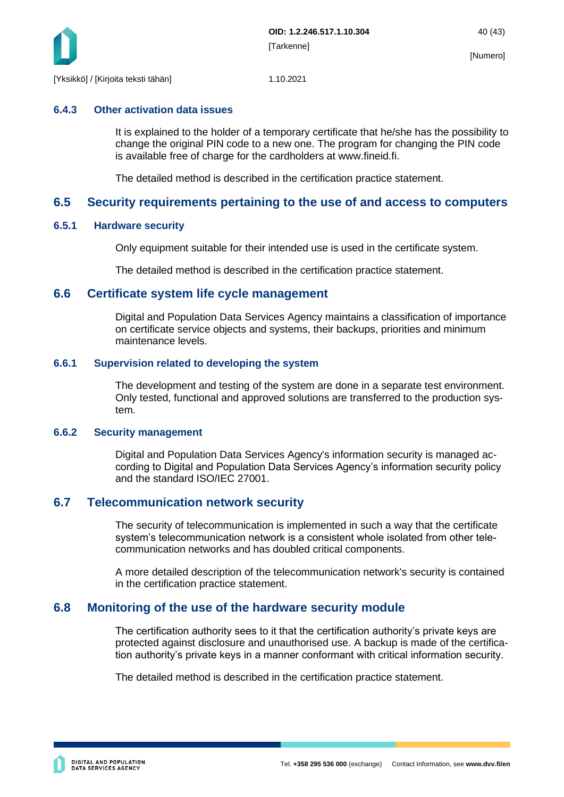

#### <span id="page-40-0"></span>**6.4.3 Other activation data issues**

It is explained to the holder of a temporary certificate that he/she has the possibility to change the original PIN code to a new one. The program for changing the PIN code is available free of charge for the cardholders at www.fineid.fi.

The detailed method is described in the certification practice statement.

### <span id="page-40-1"></span>**6.5 Security requirements pertaining to the use of and access to computers**

#### <span id="page-40-2"></span>**6.5.1 Hardware security**

Only equipment suitable for their intended use is used in the certificate system.

The detailed method is described in the certification practice statement.

#### <span id="page-40-3"></span>**6.6 Certificate system life cycle management**

Digital and Population Data Services Agency maintains a classification of importance on certificate service objects and systems, their backups, priorities and minimum maintenance levels.

#### <span id="page-40-4"></span>**6.6.1 Supervision related to developing the system**

The development and testing of the system are done in a separate test environment. Only tested, functional and approved solutions are transferred to the production system.

#### <span id="page-40-5"></span>**6.6.2 Security management**

Digital and Population Data Services Agency's information security is managed according to Digital and Population Data Services Agency's information security policy and the standard ISO/IEC 27001.

### <span id="page-40-6"></span>**6.7 Telecommunication network security**

The security of telecommunication is implemented in such a way that the certificate system's telecommunication network is a consistent whole isolated from other telecommunication networks and has doubled critical components.

A more detailed description of the telecommunication network's security is contained in the certification practice statement.

### <span id="page-40-7"></span>**6.8 Monitoring of the use of the hardware security module**

The certification authority sees to it that the certification authority's private keys are protected against disclosure and unauthorised use. A backup is made of the certification authority's private keys in a manner conformant with critical information security.

The detailed method is described in the certification practice statement.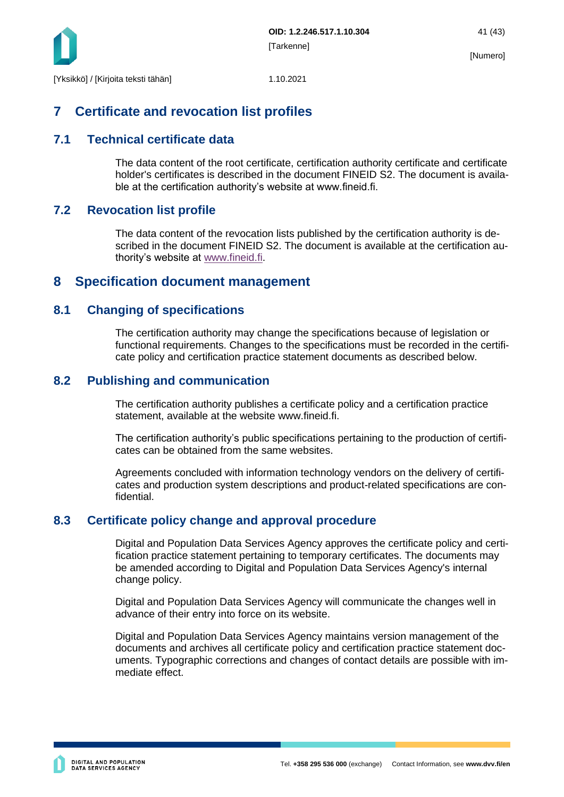

## <span id="page-41-0"></span>**7 Certificate and revocation list profiles**

### <span id="page-41-1"></span>**7.1 Technical certificate data**

The data content of the root certificate, certification authority certificate and certificate holder's certificates is described in the document FINEID S2. The document is available at the certification authority's website at www.fineid.fi.

### <span id="page-41-2"></span>**7.2 Revocation list profile**

The data content of the revocation lists published by the certification authority is described in the document FINEID S2. The document is available at the certification authority's website at [www.fineid.fi.](http://www.fineid.fi/)

### <span id="page-41-3"></span>**8 Specification document management**

### <span id="page-41-4"></span>**8.1 Changing of specifications**

The certification authority may change the specifications because of legislation or functional requirements. Changes to the specifications must be recorded in the certificate policy and certification practice statement documents as described below.

### <span id="page-41-5"></span>**8.2 Publishing and communication**

The certification authority publishes a certificate policy and a certification practice statement, available at the website www.fineid.fi.

The certification authority's public specifications pertaining to the production of certificates can be obtained from the same websites.

Agreements concluded with information technology vendors on the delivery of certificates and production system descriptions and product-related specifications are confidential.

### <span id="page-41-6"></span>**8.3 Certificate policy change and approval procedure**

Digital and Population Data Services Agency approves the certificate policy and certification practice statement pertaining to temporary certificates. The documents may be amended according to Digital and Population Data Services Agency's internal change policy.

Digital and Population Data Services Agency will communicate the changes well in advance of their entry into force on its website.

Digital and Population Data Services Agency maintains version management of the documents and archives all certificate policy and certification practice statement documents. Typographic corrections and changes of contact details are possible with immediate effect.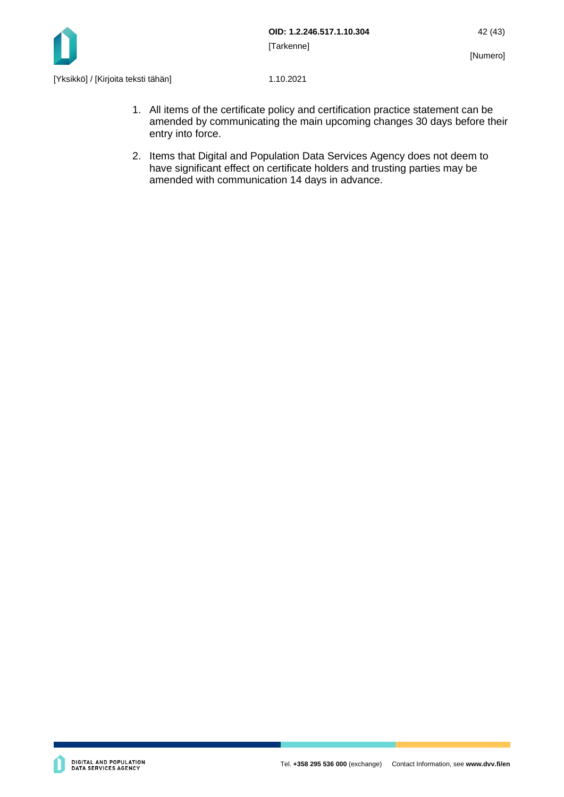

- 1. All items of the certificate policy and certification practice statement can be amended by communicating the main upcoming changes 30 days before their entry into force.
- 2. Items that Digital and Population Data Services Agency does not deem to have significant effect on certificate holders and trusting parties may be amended with communication 14 days in advance.